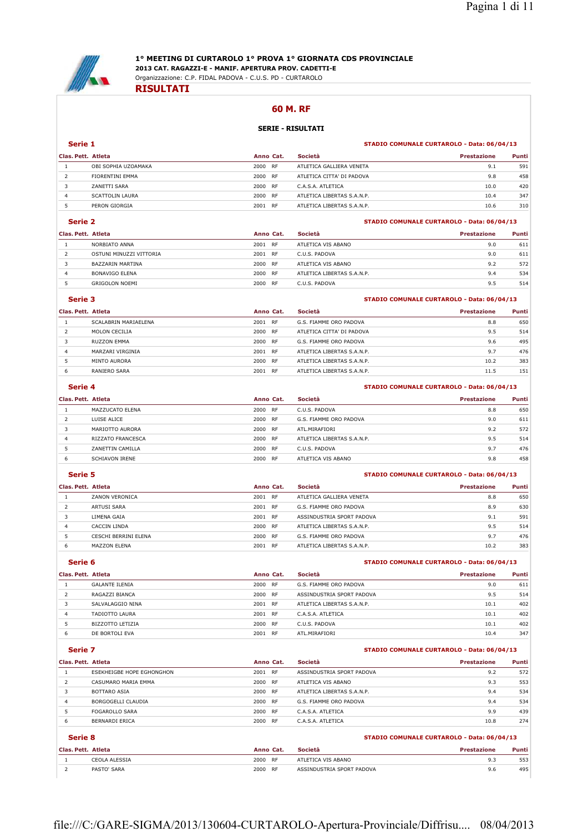

## **1° MEETING DI CURTAROLO 1° PROVA 1° GIORNATA CDS PROVINCIALE**

**2013 CAT. RAGAZZI-E - MANIF. APERTURA PROV. CADETTI-E** Organizzazione: C.P. FIDAL PADOVA - C.U.S. PD - CURTAROLO

#### **RISULTATI**

#### **60 M. RF**

## **SERIE - RISULTATI**

#### **Serie 1 STADIO COMUNALE CURTAROLO - Data: 06/04/13**

| Clas. Pett. Atleta |                        | Anno Cat. |           | Società                    | Prestazione | Punti |
|--------------------|------------------------|-----------|-----------|----------------------------|-------------|-------|
|                    | OBI SOPHIA UZOAMAKA    | 2000      | RF        | ATLETICA GALLIERA VENETA   | 9.1         | 591   |
|                    | FIORENTINI EMMA        | 2000      | RF        | ATLETICA CITTA' DI PADOVA  | 9.8         | 458   |
|                    | ZANETTI SARA           | 2000      | <b>RF</b> | C.A.S.A. ATLETICA          | 10.0        | 420   |
| 4                  | <b>SCATTOLIN LAURA</b> | 2000      | RF        | ATLETICA LIBERTAS S.A.N.P. | 10.4        | 347   |
|                    | PERON GIORGIA          | 2001      | <b>RF</b> | ATLETICA LIBERTAS S.A.N.P. | 10.6        | 310   |

#### **Serie 2 STADIO COMUNALE CURTAROLO - Data: 06/04/13**

| Clas. Pett. Atleta |                         | Anno Cat. |           | Società                    | Prestazione | Punti |
|--------------------|-------------------------|-----------|-----------|----------------------------|-------------|-------|
|                    | NORBIATO ANNA           | 2001      | <b>RF</b> | ATLETICA VIS ABANO         | 9.0         | 611   |
|                    | OSTUNI MINUZZI VITTORIA | 2001      | RF        | C.U.S. PADOVA              | 9.0         | 611   |
|                    | BAZZARIN MARTINA        | 2000      | <b>RF</b> | ATLETICA VIS ABANO         | 9.2         | 572   |
| 4                  | BONAVIGO FLENA          | 2000      | RF        | ATLETICA LIBERTAS S.A.N.P. | 9.4         | 534   |
|                    | <b>GRIGOLON NOEMI</b>   | 2000      | <b>RF</b> | C.U.S. PADOVA              | 9.5         | 514   |

#### **Serie 3 STADIO COMUNALE CURTAROLO - Data: 06/04/13**

| Clas. Pett. Atleta |                      | Anno Cat. |           | Società                    | <b>Prestazione</b> | Punti |
|--------------------|----------------------|-----------|-----------|----------------------------|--------------------|-------|
|                    | SCALABRIN MARIAELENA | 2001      | <b>RF</b> | G.S. FIAMME ORO PADOVA     | 8.8                | 650   |
|                    | MOLON CECILIA        | 2000      | RF        | ATLETICA CITTA' DI PADOVA  | 9.5                | 514   |
|                    | RUZZON EMMA          | 2000 RF   |           | G.S. FIAMME ORO PADOVA     | 9.6                | 495   |
| $\overline{4}$     | MARZARI VIRGINIA     | 2001 RF   |           | ATLETICA LIBERTAS S.A.N.P. | 9.7                | 476   |
|                    | MINTO AURORA         | 2000      | <b>RF</b> | ATLETICA LIBERTAS S.A.N.P. | 10.2               | 383   |
| 6                  | RANIERO SARA         | 2001      | <b>RF</b> | ATLETICA LIBERTAS S.A.N.P. | 11.5               | 151   |

## **Serie 4 STADIO COMUNALE CURTAROLO - Data: 06/04/13**

| Clas. Pett. Atleta |                       | Anno Cat. |           | <b>Società</b>             | <b>Prestazione</b> | Punti |
|--------------------|-----------------------|-----------|-----------|----------------------------|--------------------|-------|
|                    | MAZZUCATO ELENA       | 2000 RF   |           | C.U.S. PADOVA              | 8.8                | 650   |
|                    | LUISE ALICE           | 2000 RF   |           | G.S. FIAMME ORO PADOVA     | 9.0                | 611   |
|                    | MARIOTTO AURORA       | 2000 RF   |           | ATL MIRAFIORI              | 9.2                | 572   |
| $\overline{4}$     | RIZZATO FRANCESCA     | 2000      | <b>RF</b> | ATLETICA LIBERTAS S.A.N.P. | 9.5                | 514   |
| 5.                 | ZANETTIN CAMILLA      | 2000 RF   |           | C.U.S. PADOVA              | 9.7                | 476   |
| 6                  | <b>SCHIAVON IRENE</b> | 2000      | <b>RF</b> | ATLETICA VIS ABANO         | 9.8                | 458   |

### **Serie 5 STADIO COMUNALE CURTAROLO - Data: 06/04/13**

| Clas. Pett. Atleta |                      | Anno Cat.         | Società                    | <b>Prestazione</b> | Punti |
|--------------------|----------------------|-------------------|----------------------------|--------------------|-------|
|                    | ZANON VERONICA       | <b>RF</b><br>2001 | ATLETICA GALLIERA VENETA   | 8.8                | 650   |
|                    | ARTUSI SARA          | <b>RF</b><br>2001 | G.S. FIAMME ORO PADOVA     | 8.9                | 630   |
|                    | LIMENA GAIA          | RF<br>2001        | ASSINDUSTRIA SPORT PADOVA  | 9.1                | 591   |
| 4                  | CACCIN LINDA         | <b>RF</b><br>2000 | ATLETICA LIBERTAS S.A.N.P. | 9.5                | 514   |
|                    | CESCHI BERRINI ELENA | <b>RF</b><br>2000 | G.S. FIAMME ORO PADOVA     | 9.7                | 476   |
| 6                  | MAZZON ELENA         | <b>RF</b><br>2001 | ATLETICA LIBERTAS S.A.N.P. | 10.2               | 383   |

### **Serie 6 STADIO COMUNALE CURTAROLO - Data: 06/04/13**

| Clas. Pett. Atleta |                       | Anno Cat. |           | Società                    | <b>Prestazione</b> | <b>Punti</b> |
|--------------------|-----------------------|-----------|-----------|----------------------------|--------------------|--------------|
|                    | <b>GALANTE ILENIA</b> | 2000      | RF        | G.S. FIAMME ORO PADOVA     | 9.0                | 611          |
|                    | RAGAZZI BIANCA        | 2000      | <b>RF</b> | ASSINDUSTRIA SPORT PADOVA  | 9.5                | 514          |
|                    | SALVALAGGIO NINA      | 2001      | <b>RF</b> | ATLETICA LIBERTAS S.A.N.P. | 10.1               | 402          |
| 4                  | TADIOTTO LAURA        | 2001      | <b>RF</b> | C.A.S.A. ATLETICA          | 10.1               | 402          |
|                    | BIZZOTTO LETIZIA      | 2000      | RF        | C.U.S. PADOVA              | 10.1               | 402          |
| 6                  | DE BORTOLI EVA        | 2001      | <b>RF</b> | ATL.MIRAFIORI              | 10.4               | 347          |

### **Serie 7 STADIO COMUNALE CURTAROLO - Data: 06/04/13**

| Clas. Pett. Atleta |                                  | Anno Cat. |           | Società                                    | <b>Prestazione</b> | Punti |
|--------------------|----------------------------------|-----------|-----------|--------------------------------------------|--------------------|-------|
|                    | <b>FSEKHEIGBE HOPE EGHONGHON</b> | 2001 RF   |           | ASSINDUSTRIA SPORT PADOVA                  | 9.2                | 572   |
| 2                  | CASUMARO MARIA FMMA              | 2000 RF   |           | ATLETICA VIS ABANO                         | 9.3                | 553   |
|                    | <b>BOTTARO ASIA</b>              | 2000 RF   |           | ATLETICA LIBERTAS S.A.N.P.                 | 9.4                | 534   |
| 4                  | BORGOGELLI CLAUDIA               | 2000 RF   |           | G.S. FIAMME ORO PADOVA                     | 9.4                | 534   |
| 5                  | <b>FOGAROLLO SARA</b>            | 2000 RF   |           | C.A.S.A. ATLETICA                          | 9.9                | 439   |
| 6                  | <b>BERNARDI ERICA</b>            | 2000      | <b>RF</b> | C.A.S.A. ATLETICA                          | 10.8               | 274   |
|                    | Serie 8                          |           |           | STADIO COMUNALE CURTAROLO - Data: 06/04/13 |                    |       |

| Clas. Pett. Atleta |               | Anno Cat. |    | Società                   | <b>Prestazione</b> | <b>Punti</b> |
|--------------------|---------------|-----------|----|---------------------------|--------------------|--------------|
|                    | CEOLA ALESSIA | 2000 RF   |    | ATLETICA VIS ABANO        | 9.3                | 553          |
|                    | PASTO' SARA   | 2000      | RF | ASSINDUSTRIA SPORT PADOVA | 9.6                | 495          |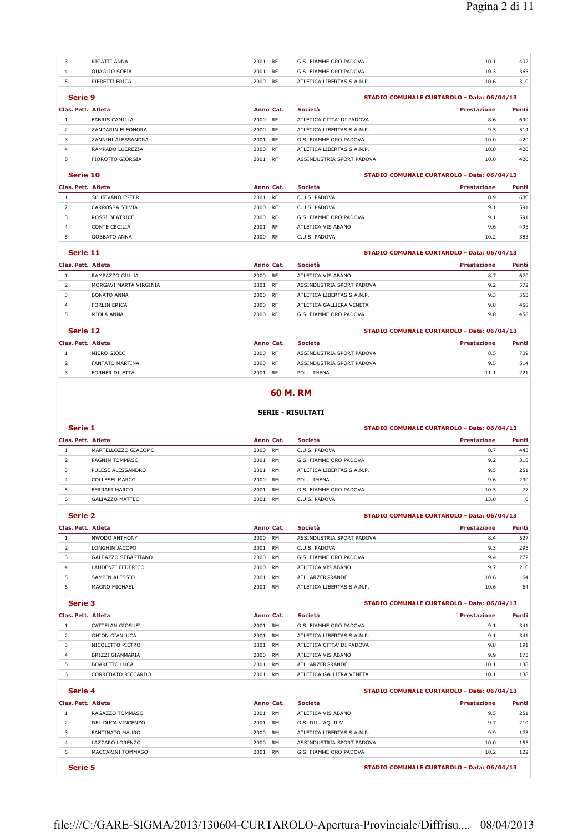| ANNA<br><b>RIGAT</b> | 200  | <b>RF</b> | FIAMME ORO PADOVA      | 10.1<br>the contract of the contract of the | 402 |
|----------------------|------|-----------|------------------------|---------------------------------------------|-----|
| <b>OUAGLIO SOFIA</b> | 2001 | <b>RF</b> | G.S. FIAMME ORO PADOVA | 10.3                                        | 365 |
| PIFRETTI FRICA       | 2000 | <b>RF</b> | LIBERTAS S.A.N.P.      | 10.6                                        | 310 |

### **Serie 9 STADIO COMUNALE CURTAROLO - Data: 06/04/13**

## **Clas. Pett. Atleta Anno Cat. Società Prestazione Punti** FABRIS CAMILLA 2000 RF ATLETICA CITTA' DI PADOVA 8.6 690 ZANDARIN ELEONORA 2000 RF ATLETICA LIBERTAS S.A.N.P. 9.5 514 3 ZANNINI ALESSANDRA 2001 RF G.S. FIAMME ORO PADOVA 10.0 420 RAMPADO LUCREZIA 2000 RF ATLETICA LIBERTAS S.A.N.P. 10.0 420

#### **Serie 10 STADIO COMUNALE CURTAROLO - Data: 06/04/13**

| Clas. Pett. Atleta  | Anno Cat.         | Società                | <b>Prestazione</b> | Punti |
|---------------------|-------------------|------------------------|--------------------|-------|
| SCHIEVANO ESTER     | 2001 RF           | C.U.S. PADOVA          | 8.9                | 630   |
| CARROSSA SILVIA     | 2000 RF           | C.U.S. PADOVA          | 9.1                | 591   |
| ROSSI BEATRICE      | 2000 RF           | G.S. FIAMME ORO PADOVA | 9.1                | 591   |
| CONTE CECILIA       | 2001<br><b>RF</b> | ATLETICA VIS ABANO     | 9.6                | 495   |
| <b>GOBBATO ANNA</b> | 2000<br><b>RF</b> | C.U.S. PADOVA          | 10.2               | 383   |

FIOROTTO GIORGIA 2001 RF ASSINDUSTRIA SPORT PADOVA 10.0 420

#### **Serie 11 STADIO COMUNALE CURTAROLO - Data: 06/04/13**

| Clas. Pett. Atleta |                        | Anno Cat.         | Società                    | Prestazione | Punti |
|--------------------|------------------------|-------------------|----------------------------|-------------|-------|
|                    | RAMPAZZO GIULIA        | 2000<br><b>RF</b> | ATLETICA VIS ABANO         | 8.7         | 670   |
|                    | MORGAVI MARTA VIRGINIA | 2001<br><b>RF</b> | ASSINDUSTRIA SPORT PADOVA  | 9.2         | 572   |
|                    | <b>BONATO ANNA</b>     | 2000<br><b>RF</b> | ATLETICA LIBERTAS S.A.N.P. | 9.3         | 553   |
| 4                  | FORLIN FRICA           | 2000<br><b>RF</b> | ATLETICA GALLIERA VENETA   | 9.8         | 458   |
|                    | MIOLA ANNA             | 2000<br><b>RF</b> | G.S. FIAMME ORO PADOVA     | 9.8         | 458   |

### **Serie 12 STADIO COMUNALE CURTAROLO - Data: 06/04/13**

| Clas. Pett. Atleta |                        | Anno Cat.         | Società                   | <b>Prestazione</b> | Punti |
|--------------------|------------------------|-------------------|---------------------------|--------------------|-------|
|                    | NIERO GIODI            | 2000<br>RF        | ASSINDUSTRIA SPORT PADOVA | 8.5                | 709   |
|                    | <b>FANTATO MARTINA</b> | 2000<br>RF        | ASSINDUSTRIA SPORT PADOVA | 9.5                | 514   |
|                    | FORNER DILETTA         | 2001<br><b>RF</b> | POL. LIMENA               | 11.1               | 221   |

#### **60 M. RM**

#### **SERIE - RISULTATI**

#### **Serie 1 STADIO COMUNALE CURTAROLO - Data: 06/04/13**

| Clas. Pett. Atleta |                     | Anno Cat. |           | Società                    | <b>Prestazione</b> | <b>Punti</b> |
|--------------------|---------------------|-----------|-----------|----------------------------|--------------------|--------------|
|                    | MARTELLOZZO GIACOMO | 2000      | <b>RM</b> | C.U.S. PADOVA              | 8.7                | 443          |
|                    | PAGNIN TOMMASO      | 2001      | <b>RM</b> | G.S. FIAMME ORO PADOVA     | 9.2                | 318          |
|                    | PULESE ALESSANDRO   | 2001      | RM        | ATLETICA LIBERTAS S.A.N.P. | 9.5                | 251          |
|                    | COLLESEI MARCO      | 2000      | RM        | POL. LIMENA                | 9.6                | 230          |
|                    | FERRARI MARCO       | 2001      | <b>RM</b> | G.S. FIAMME ORO PADOVA     | 10.5               | 77           |
|                    | GALIAZZO MATTEO     | 2001      | RM        | C.U.S. PADOVA              | 13.0               | 0            |

#### **Serie 2 STADIO COMUNALE CURTAROLO - Data: 06/04/13**

| Clas. Pett. Atleta |                     | Anno Cat. |           | Società                    | <b>Prestazione</b> | Punti |
|--------------------|---------------------|-----------|-----------|----------------------------|--------------------|-------|
|                    | NWODO ANTHONY       | 2000      | <b>RM</b> | ASSINDUSTRIA SPORT PADOVA  | 8.4                | 527   |
|                    | LONGHIN JACOPO      | 2001      | RM        | C.U.S. PADOVA              | 9.3                | 295   |
|                    | GALEAZZO SEBASTIANO | 2000      | RM        | G.S. FIAMME ORO PADOVA     | 9.4                | 272   |
| 4                  | LAUDENZI FEDERICO   | 2000      | <b>RM</b> | ATLETICA VIS ABANO         | 9.7                | 210   |
|                    | SAMBIN ALESSIO      | 2001      | RM        | ATI. ARZERGRANDE           | 10.6               | 64    |
| 6                  | MAGRO MICHAEL       | 2001      | RM        | ATLETICA LIBERTAS S.A.N.P. | 10.6               | 64    |

#### **Serie 3 STADIO COMUNALE CURTAROLO - Data: 06/04/13**

### **Clas. Pett. Atleta Anno Cat. Società Prestazione Punti** CATTELAN GIOSUE' 2001 RM G.S. FIAMME ORO PADOVA 9.1 341 2 GHION GIANLUCA 2001 RM ATLETICA LIBERTAS S.A.N.P. 9.1 341 NICOLETTO PIETRO 2001 RM ATLETICA CITTA' DI PADOVA 9.8 191 BRIZZI GIANMARIA 2000 RM ATLETICA VIS ABANO 9.9 173 BOARETTO LUCA 2001 RM ATL. ARZERGRANDE 10.1 138 CORREDATO RICCARDO 2001 RM ATLETICA GALLIERA VENETA 10.1 138

|                    | Serie 4           |           |    | STADIO COMUNALE CURTAROLO - Data: 06/04/13 |             |       |  |
|--------------------|-------------------|-----------|----|--------------------------------------------|-------------|-------|--|
| Clas. Pett. Atleta |                   | Anno Cat. |    | Società                                    | Prestazione | Punti |  |
|                    | RAGAZZO TOMMASO   | 2001      | RM | ATLETICA VIS ABANO                         | 9.5         | 251   |  |
| 2                  | DEL DUCA VINCENZO | 2001      | RM | G.S. DIL. 'AQUILA'                         | 9.7         | 210   |  |
| 3                  | FANTINATO MAURO   | 2000      | RM | ATLETICA LIBERTAS S.A.N.P.                 | 9.9         | 173   |  |
| 4                  | LAZZARO LORENZO   | 2000      | RM | ASSINDUSTRIA SPORT PADOVA                  | 10.0        | 155   |  |
|                    | MACCARINI TOMMASO | 2001      | RM | G.S. FIAMME ORO PADOVA                     | 10.2        | 122   |  |

**Serie 5 STADIO COMUNALE CURTAROLO - Data: 06/04/13**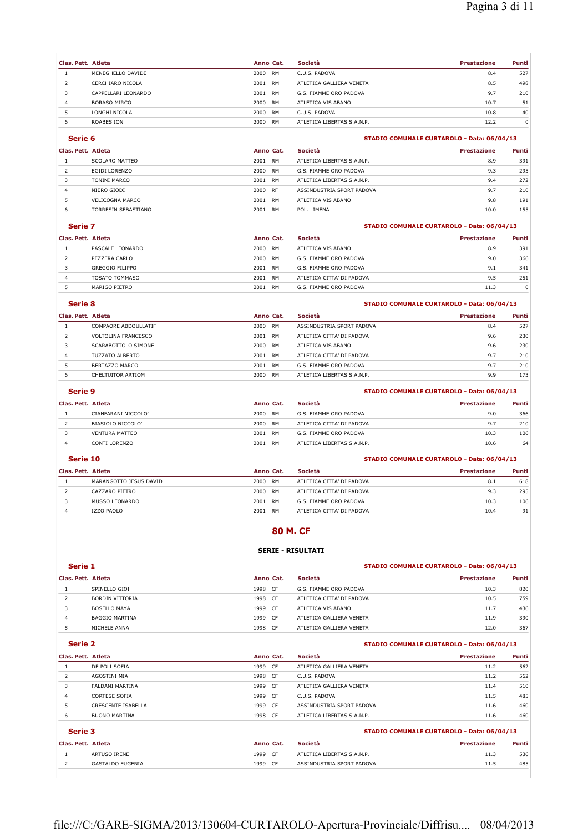$\overline{1}$ 

| Clas. Pett. Atleta |                     | Anno Cat. |           | Società                    | Prestazione | Punti |
|--------------------|---------------------|-----------|-----------|----------------------------|-------------|-------|
|                    | MENEGHELLO DAVIDE   | 2000      | <b>RM</b> | C.U.S. PADOVA              | 8.4         | 527   |
|                    | CERCHIARO NICOLA    | 2001      | <b>RM</b> | ATLETICA GALLIERA VENETA   | 8.5         | 498   |
|                    | CAPPELLARI LEONARDO | 2001      | RM        | G.S. FIAMME ORO PADOVA     | 9.7         | 210   |
|                    | <b>BORASO MIRCO</b> | 2000      | <b>RM</b> | ATLETICA VIS ABANO         | 10.7        | 51    |
|                    | LONGHI NICOLA       | 2000      | <b>RM</b> | C.U.S. PADOVA              | 10.8        | 40    |
| ь                  | ROABES ION          | 2000      | <b>RM</b> | ATLETICA LIBERTAS S.A.N.P. | 12.2        | 0     |

## **Serie 6 STADIO COMUNALE CURTAROLO - Data: 06/04/13**

| Clas. Pett. Atleta  |      | Società                                                          | Prestazione | Punti |
|---------------------|------|------------------------------------------------------------------|-------------|-------|
| SCOLARO MATTEO      | 2001 | ATLETICA LIBERTAS S.A.N.P.                                       | 8.9         | 391   |
| EGIDI LORENZO       | 2000 | G.S. FIAMME ORO PADOVA                                           | 9.3         | 295   |
| <b>TONINI MARCO</b> | 2001 | ATLETICA LIBERTAS S.A.N.P.                                       | 9.4         | 272   |
| NIERO GIODI         |      | ASSINDUSTRIA SPORT PADOVA                                        | 9.7         | 210   |
| VELICOGNA MARCO     | 2001 | ATLETICA VIS ABANO                                               | 9.8         | 191   |
| TORRESIN SEBASTIANO | 2001 | POL. LIMENA                                                      | 10.0        | 155   |
|                     |      | Anno Cat.<br><b>RM</b><br>RM<br>RM<br>2000 RF<br>RM<br><b>RM</b> |             |       |

#### **Serie 7 STADIO COMUNALE CURTAROLO - Data: 06/04/13**

| Clas. Pett. Atleta |                        | Anno Cat. |           | Società                   | <b>Prestazione</b> | <b>Punti</b> |
|--------------------|------------------------|-----------|-----------|---------------------------|--------------------|--------------|
|                    | PASCALE LEONARDO       | 2000      | RM        | ATLETICA VIS ABANO        | 8.9                | 391          |
|                    | PEZZERA CARLO          | 2000      | <b>RM</b> | G.S. FIAMME ORO PADOVA    | 9.0                | 366          |
|                    | <b>GREGGIO FILIPPO</b> | 2001      | <b>RM</b> | G.S. FIAMME ORO PADOVA    | 9.1                | 341          |
| 4                  | TOSATO TOMMASO         | 2001      | RM        | ATLETICA CITTA' DI PADOVA | 9.5                | 251          |
|                    | MARIGO PIETRO          | 2001      | <b>RM</b> | G.S. FIAMME ORO PADOVA    | 11.3               | $\Omega$     |

#### **Serie 8 STADIO COMUNALE CURTAROLO - Data: 06/04/13**

| Clas. Pett. Atleta |                      | Anno Cat.         | Società                    | <b>Prestazione</b> | Punti |
|--------------------|----------------------|-------------------|----------------------------|--------------------|-------|
|                    | COMPAORE ABDOULLATIF | 2000<br>RM        | ASSINDUSTRIA SPORT PADOVA  | 8.4                | 527   |
|                    | VOLTOLINA FRANCESCO  | 2001<br><b>RM</b> | ATLETICA CITTA' DI PADOVA  | 9.6                | 230   |
|                    | SCARABOTTOLO SIMONE  | 2000<br>RM        | ATLETICA VIS ABANO         | 9.6                | 230   |
| 4                  | TUZZATO ALBERTO      | 2001<br><b>RM</b> | ATLETICA CITTA' DI PADOVA  | 9.7                | 210   |
|                    | BERTAZZO MARCO       | 2001<br><b>RM</b> | G.S. FIAMME ORO PADOVA     | 9.7                | 210   |
| 6                  | CHELTUITOR ARTIOM    | 2000<br><b>RM</b> | ATLETICA LIBERTAS S.A.N.P. | 9.9                | 173   |

### **Serie 9 STADIO COMUNALE CURTAROLO - Data: 06/04/13**

| Clas. Pett. Atleta |                     | Anno Cat.  | Società                    | <b>Prestazione</b> | <b>Punti</b> |
|--------------------|---------------------|------------|----------------------------|--------------------|--------------|
|                    | CIANFARANI NICCOLO' | 2000<br>RM | G.S. FIAMME ORO PADOVA     | 9.0                | 366          |
|                    | BIASIOLO NICCOLO'   | 2000<br>RM | ATLETICA CITTA' DI PADOVA  | 9.7                | 210          |
|                    | VENTURA MATTEO      | 2001<br>RM | G.S. FIAMME ORO PADOVA     | 10.3               | 106          |
|                    | CONTI LORENZO       | 2001<br>RM | ATLETICA LIBERTAS S.A.N.P. | 10.6               | 64           |

#### **Serie 10 STADIO COMUNALE CURTAROLO - Data: 06/04/13**

| Clas. Pett. Atleta |                        | Anno Cat.  | Società                   | <b>Prestazione</b> | Punti |
|--------------------|------------------------|------------|---------------------------|--------------------|-------|
|                    | MARANGOTTO JESUS DAVID | 2000<br>RM | ATLETICA CITTA' DI PADOVA | 8.1                | 618   |
|                    | CAZZARO PIETRO         | 2000<br>RM | ATLETICA CITTA' DI PADOVA | 9.3                | 295   |
|                    | MUSSO LEONARDO         | 2001<br>RM | G.S. FIAMME ORO PADOVA    | 10.3               | 106   |
|                    | IZZO PAOLO             | 2001<br>RM | ATLETICA CITTA' DI PADOVA | 10.4               | 91    |

#### **80 M. CF**

### **SERIE - RISULTATI**

## **Serie 1 STADIO COMUNALE CURTAROLO - Data: 06/04/13**

#### **Clas. Pett. Atleta Anno Cat. Società Prestazione Punti** 1 SPINELLO GIOI 1998 CF G.S. FIAMME ORO PADOVA 10.3 820 BORDIN VITTORIA 1998 CF ATLETICA CITTA' DI PADOVA 10.5 759 3 BOSELLO MAYA 1999 CE ATLETICA VIS ABANO 11.7 436 BAGGIO MARTINA 1999 CF ATLETICA GALLIERA VENETA 11.9 390 NICHELE ANNA 1998 CF ATLETICA GALLIERA VENETA 12.0 367

## **Serie 2 STADIO COMUNALE CURTAROLO - Data: 06/04/13**

|                      | Anno Cat.          | Società                    | <b>Prestazione</b> | Punti |
|----------------------|--------------------|----------------------------|--------------------|-------|
| DE POLI SOFIA        | CF<br>1999         | ATLETICA GALLIERA VENETA   | 11.2               | 562   |
| AGOSTINI MIA         | 1998 CF            | C.U.S. PADOVA              | 11.2               | 562   |
| FALDANI MARTINA      | 1999<br>- CF       | ATLETICA GALLIERA VENETA   | 11.4               | 510   |
| CORTESE SOFIA        | 1999<br><b>CF</b>  | C.U.S. PADOVA              | 11.5               | 485   |
| CRESCENTE ISABELLA   | 1999<br>- CF       | ASSINDUSTRIA SPORT PADOVA  | 11.6               | 460   |
| <b>BUONO MARTINA</b> | 1998 CF            | ATLETICA LIBERTAS S.A.N.P. | 11.6               | 460   |
|                      | Clas. Pett. Atleta |                            |                    |       |

#### **Serie 3 STADIO COMUNALE CURTAROLO - Data: 06/04/13**

| Clas. Pett. Atleta |                  | Anno Cat.         | Società                    | <b>Prestazione</b> | Punti |
|--------------------|------------------|-------------------|----------------------------|--------------------|-------|
|                    | ARTUSO IRENE     | 1999<br><b>CF</b> | ATLETICA LIBERTAS S.A.N.P. | 11.3               | 536   |
|                    | GASTALDO FUGENIA | 1999<br>- CF      | ASSINDUSTRIA SPORT PADOVA  | 11.5               | 485   |
|                    |                  |                   |                            |                    |       |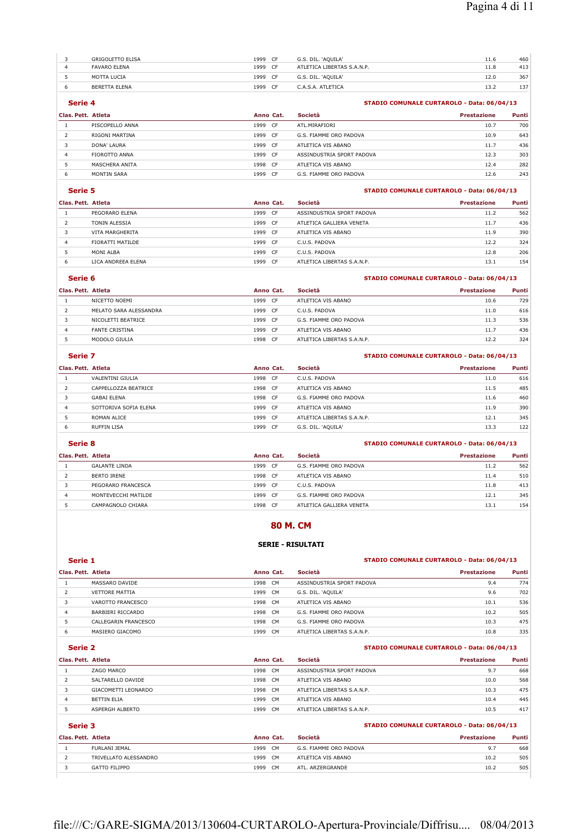| <b>GRIGOLETTO ELISA</b> | 1999 | CF.       | G.S. DIL. 'AOUILA'         | 11.6 | 460 |
|-------------------------|------|-----------|----------------------------|------|-----|
| <b>FAVARO ELENA</b>     | 1999 | $\subset$ | ATLETICA LIBERTAS S.A.N.P. | 11.8 | 413 |
| MOTTA LUCIA             | 1999 | CF.       | G.S. DIL. 'AQUILA'         | 12.0 | 367 |
| BERETTA ELENA           | 1999 | CF.       | C.A.S.A. ATLETICA          | 13.2 | 137 |

## **Serie 4 STADIO COMUNALE CURTAROLO - Data: 06/04/13**

| Clas. Pett. Atleta |                 | Anno Cat. |      | Società                   | <b>Prestazione</b> | Punti |
|--------------------|-----------------|-----------|------|---------------------------|--------------------|-------|
|                    | PISCOPELLO ANNA | 1999      | CF   | ATL.MIRAFIORI             | 10.7               | 700   |
| ∠                  | RIGONI MARTINA  | 1999      | - CF | G.S. FIAMME ORO PADOVA    | 10.9               | 643   |
|                    | DONA' LAURA     | 1999      | CF   | ATLETICA VIS ABANO        | 11.7               | 436   |
| 4                  | FIOROTTO ANNA   | 1999      | - CF | ASSINDUSTRIA SPORT PADOVA | 12.3               | 303   |
|                    | MASCHERA ANITA  | 1998 CF   |      | ATLETICA VIS ABANO        | 12.4               | 282   |
| ь                  | MONTIN SARA     | 1999      | CF.  | G.S. FIAMME ORO PADOVA    | 12.6               | 243   |
|                    |                 |           |      |                           |                    |       |

## **Serie 5 STADIO COMUNALE CURTAROLO - Data: 06/04/13**

| Clas. Pett. Atleta |                    | Anno Cat.    | Società                    | Prestazione | Punti |
|--------------------|--------------------|--------------|----------------------------|-------------|-------|
|                    | PEGORARO ELENA     | 1999<br>- CF | ASSINDUSTRIA SPORT PADOVA  | 11.2        | 562   |
|                    | TONIN ALESSIA      | 1999<br>- CF | ATLETICA GALLIERA VENETA   | 11.7        | 436   |
|                    | VITA MARGHERITA    | 1999 CF      | ATLETICA VIS ABANO         | 11.9        | 390   |
| 4                  | FIORATTI MATILDE   | 1999<br>- CF | C.U.S. PADOVA              | 12.2        | 324   |
|                    | MONI ALBA          | 1999 CF      | C.U.S. PADOVA              | 12.8        | 206   |
| 6                  | LICA ANDREEA ELENA | 1999<br>CF.  | ATLETICA LIBERTAS S.A.N.P. | 13.1        | 154   |

### **Serie 6 STADIO COMUNALE CURTAROLO - Data: 06/04/13**

| Clas. Pett. Atleta |                        | Anno Cat.    | Società                    | Prestazione | Punti |
|--------------------|------------------------|--------------|----------------------------|-------------|-------|
|                    | NICETTO NOEMI          | 1999<br>- CF | ATLETICA VIS ABANO         | 10.6        | 729   |
|                    | MELATO SARA ALESSANDRA | 1999<br>CF.  | C.U.S. PADOVA              | 11.0        | 616   |
|                    | NICOLETTI BEATRICE     | 1999 CF      | G.S. FIAMME ORO PADOVA     | 11.3        | 536   |
| 4                  | <b>FANTE CRISTINA</b>  | 1999<br>- CF | ATLETICA VIS ABANO         | 11.7        | 436   |
|                    | MODOLO GIULIA          | 1998<br>- CF | ATLETICA LIBERTAS S.A.N.P. | 12.2        | 324   |

### **Serie 7 STADIO COMUNALE CURTAROLO - Data: 06/04/13**

| Clas. Pett. Atleta |                       | Anno Cat.   | <b>Società</b>             | <b>Prestazione</b> | Punti |
|--------------------|-----------------------|-------------|----------------------------|--------------------|-------|
|                    | VALENTINI GIULIA      | 1998<br>CF  | C.U.S. PADOVA              | 11.0               | 616   |
|                    | CAPPELLOZZA BEATRICE  | 1998<br>CF. | ATLETICA VIS ABANO         | 11.5               | 485   |
|                    | <b>GABAI ELENA</b>    | 1998<br>CF  | G.S. FIAMME ORO PADOVA     | 11.6               | 460   |
| $\overline{4}$     | SOTTORIVA SOFIA ELENA | 1999<br>CF. | ATLETICA VIS ABANO         | 11.9               | 390   |
|                    | ROMAN ALICE           | 1999<br>CF  | ATLETICA LIBERTAS S.A.N.P. | 12.1               | 345   |
|                    | <b>RUFFIN LISA</b>    | 1999<br>C.F | G.S. DIL. 'AOUILA'         | 13.3               | 122   |

#### **Serie 8 STADIO COMUNALE CURTAROLO - Data: 06/04/13**

## **Clas. Pett. Atleta Anno Cat. Società Prestazione Punti** 1 GALANTE LINDA 1999 CF G.S. FIAMME ORO PADOVA 11.2 562

| <b>.</b> | 0.10111E 0.1107     | ---- | --   | <b>0.0. LIATLE ORO LADOVA</b> | .    | <u>JUZ</u> |
|----------|---------------------|------|------|-------------------------------|------|------------|
|          | BERTO IRENE         | 1998 | - CF | ATLETICA VIS ABANO            | 11.4 | 510        |
|          | PEGORARO FRANCESCA  | 1999 | - CF | C.U.S. PADOVA                 | 11.8 | 413        |
|          | MONTEVECCHI MATILDE | 1999 | - CF | G.S. FIAMME ORO PADOVA        | 12.1 | 345        |
|          | CAMPAGNOLO CHIARA   | 1998 | - CF | ATLETICA GALLIERA VENETA      | 13.1 | 154        |

## **80 M. CM**

#### **SERIE - RISULTATI**

## **Serie 1 STADIO COMUNALE CURTAROLO - Data: 06/04/13**

#### **Clas. Pett. Atleta Anno Cat. Società Prestazione Punti** 1 MASSARO DAVIDE 1998 CM ASSINDUSTRIA SPORT PADOVA 9.4 774 2 VETTORE MATTIA 1999 CM G.S. DIL. 'AQUILA' 9.6 702 3 VAROTTO FRANCESCO 1998 CM ATLETICA VIS ABANO 10.1 536 BARBIERI RICCARDO 1998 CM G.S. FIAMME ORO PADOVA 10.2 505 5 CALLEGARIN FRANCESCO 1998 CM G.S. FIAMME ORO PADOVA 10.3 475 MASIERO GIACOMO 1999 CM ATLETICA LIBERTAS S.A.N.P. 10.8 335

### **Serie 2 STADIO COMUNALE CURTAROLO - Data: 06/04/13**

| Clas. Pett. Atleta  |      | Società                                            | Prestazione | Punti |
|---------------------|------|----------------------------------------------------|-------------|-------|
| ZAGO MARCO          | 1998 | ASSINDUSTRIA SPORT PADOVA                          | 9.7         | 668   |
| SALTARELLO DAVIDE   | 1998 | ATLETICA VIS ABANO                                 | 10.0        | 568   |
| GIACOMETTI LEONARDO | 1998 | ATLETICA LIBERTAS S.A.N.P.                         | 10.3        | 475   |
| <b>BETTIN FLIA</b>  | 1999 | ATLETICA VIS ABANO                                 | 10.4        | 445   |
| ASPERGH ALBERTO     | 1999 | ATLETICA LIBERTAS S.A.N.P.                         | 10.5        | 417   |
|                     |      | Anno Cat.<br>CM.<br>CM.<br>CM.<br>CM.<br><b>CM</b> |             |       |

|                    | Serie 3               |           |                | STADIO COMUNALE CURTAROLO - Data: 06/04/13 |                    |       |
|--------------------|-----------------------|-----------|----------------|--------------------------------------------|--------------------|-------|
| Clas. Pett. Atleta |                       | Anno Cat. |                | Società                                    | <b>Prestazione</b> | Punti |
|                    | FURLANI JEMAL         | 1999      | CM.            | G.S. FIAMME ORO PADOVA                     | 9.7                | 668   |
|                    | TRIVELLATO ALESSANDRO | 1999      | C <sub>M</sub> | ATLETICA VIS ABANO                         | 10.2               | 505   |
|                    | <b>GATTO FILIPPO</b>  | 1999      | CM.            | ATI. ARZERGRANDE                           | 10.2               | 505   |
|                    |                       |           |                |                                            |                    |       |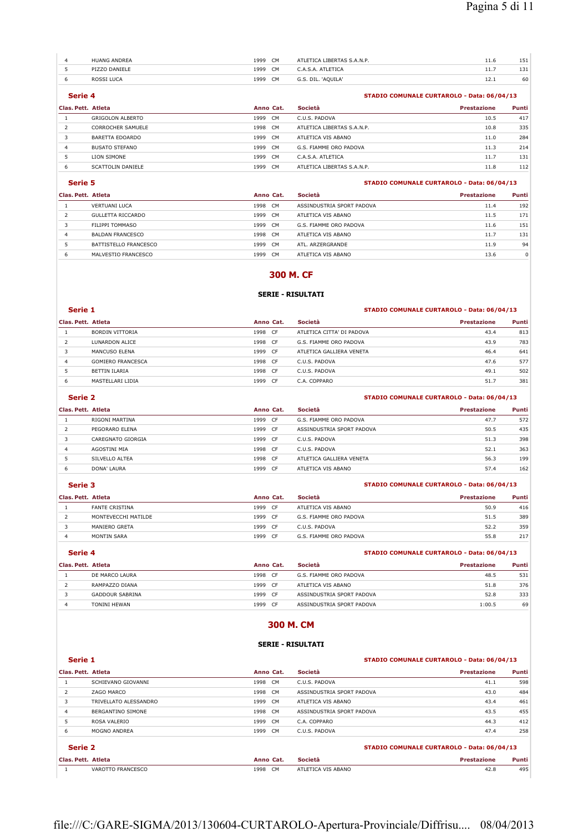| <b>HUANG ANDREA</b> | 1999 | <b>CM</b>      | ATLETICA LIBERTAS S.A.N.P. | 11.6 | 151 |
|---------------------|------|----------------|----------------------------|------|-----|
| PIZZO DANIELE       | 1999 | CM             | C.A.S.A. ATLETICA          | 11.7 | 131 |
| ROSSI LUCA          | 1999 | C <sub>M</sub> | G.S. DIL. 'AQUILA'         | 12.1 | 60  |

### **Serie 4 STADIO COMUNALE CURTAROLO - Data: 06/04/13**

| Clas. Pett. Atleta |                         | Anno Cat.              | Società                    | <b>Prestazione</b> | <b>Punti</b> |
|--------------------|-------------------------|------------------------|----------------------------|--------------------|--------------|
|                    | <b>GRIGOLON ALBERTO</b> | C <sub>M</sub><br>1999 | C.U.S. PADOVA              | 10.5               | 417          |
|                    | CORROCHER SAMUELE       | 1998<br><b>CM</b>      | ATLETICA LIBERTAS S.A.N.P. | 10.8               | 335          |
|                    | BARETTA EDOARDO         | 1999<br><b>CM</b>      | ATLETICA VIS ABANO         | 11.0               | 284          |
| 4                  | <b>BUSATO STEFANO</b>   | C <sub>M</sub><br>1999 | G.S. FIAMME ORO PADOVA     | 11.3               | 214          |
|                    | LION SIMONE             | 1999<br><b>CM</b>      | C.A.S.A. ATLETICA          | 11.7               | 131          |
| ь                  | SCATTOLIN DANIELE       | 1999<br><b>CM</b>      | ATLETICA LIBERTAS S.A.N.P. | 11.8               | 112          |

### **Serie 5 STADIO COMUNALE CURTAROLO - Data: 06/04/13**

| Clas. Pett. Atleta |                       | Anno Cat.         | Società                   | <b>Prestazione</b> | Punti |
|--------------------|-----------------------|-------------------|---------------------------|--------------------|-------|
|                    | <b>VERTUANI LUCA</b>  | <b>CM</b><br>1998 | ASSINDUSTRIA SPORT PADOVA | 11.4               | 192   |
|                    | GULLETTA RICCARDO     | CM.<br>1999       | ATLETICA VIS ABANO        | 11.5               | 171   |
|                    | FILIPPI TOMMASO       | CM.<br>1999       | G.S. FIAMME ORO PADOVA    | 11.6               | 151   |
|                    | BALDAN FRANCESCO      | CM.<br>1998       | ATLETICA VIS ABANO        | 11.7               | 131   |
|                    | BATTISTELLO FRANCESCO | C.M<br>1999       | ATI . ARZERGRANDE         | 11.9               | 94    |
|                    | MALVESTIO FRANCESCO   | <b>CM</b><br>1999 | ATLETICA VIS ABANO        | 13.6               | 0     |

#### **300 M. CF**

#### **SERIE - RISULTATI**

#### **Serie 1 STADIO COMUNALE CURTAROLO - Data: 06/04/13**

| Clas. Pett. Atleta |                          | Anno Cat. |      | Società                   | <b>Prestazione</b> | Punti |
|--------------------|--------------------------|-----------|------|---------------------------|--------------------|-------|
|                    | BORDIN VITTORIA          | 1998      | CF   | ATLETICA CITTA' DI PADOVA | 43.4               | 813   |
|                    | LUNARDON ALICE           | 1998      | - CF | G.S. FIAMME ORO PADOVA    | 43.9               | 783   |
|                    | MANCUSO FLENA            | 1999      | CF.  | ATLETICA GALLIERA VENETA  | 46.4               | 641   |
| 4                  | <b>GOMIERO FRANCESCA</b> | 1998      | CF   | C.U.S. PADOVA             | 47.6               | 577   |
|                    | BETTIN ILARIA            | 1998      | CF   | C.U.S. PADOVA             | 49.1               | 502   |
| 6                  | MASTELLARI LIDIA         | 1999      | CF   | C.A. COPPARO              | 51.7               | 381   |

## **Serie 2 STADIO COMUNALE CURTAROLO - Data: 06/04/13**

| Clas. Pett. Atleta |                   | Anno Cat.   | Società                   | <b>Prestazione</b> | Punti |
|--------------------|-------------------|-------------|---------------------------|--------------------|-------|
|                    | RIGONI MARTINA    | 1999<br>CF  | G.S. FIAMME ORO PADOVA    | 47.7               | 572   |
|                    | PEGORARO ELENA    | 1999<br>CF. | ASSINDUSTRIA SPORT PADOVA | 50.5               | 435   |
|                    | CAREGNATO GIORGIA | 1999<br>CF. | C.U.S. PADOVA             | 51.3               | 398   |
| 4                  | AGOSTINI MIA      | 1998<br>CF. | C.U.S. PADOVA             | 52.1               | 363   |
|                    | SILVELLO ALTEA    | 1998<br>CF  | ATLETICA GALLIERA VENETA  | 56.3               | 199   |
| 6                  | DONA' LAURA       | 1999<br>CF. | ATLETICA VIS ABANO        | 57.4               | 162   |

#### **Serie 3 STADIO COMUNALE CURTAROLO - Data: 06/04/13**

|                       | Anno Cat.          | Società                | <b>Prestazione</b> | Punti |
|-----------------------|--------------------|------------------------|--------------------|-------|
| <b>FANTE CRISTINA</b> | 1999<br>- CF       | ATLETICA VIS ABANO     | 50.9               | 416   |
| MONTEVECCHI MATILDE   | 1999<br>- CF       | G.S. FIAMME ORO PADOVA | 51.5               | 389   |
| MANIERO GRETA         | 1999<br>- CF       | C.U.S. PADOVA          | 52.2               | 359   |
| MONTIN SARA           | 1999<br>CF         | G.S. FIAMME ORO PADOVA | 55.8               | 217   |
|                       | Clas. Pett. Atleta |                        |                    |       |

### **Serie 4 STADIO COMUNALE CURTAROLO - Data: 06/04/13**

| Clas. Pett. Atleta |                        | Anno Cat. |     | Società                   | Prestazione | Punti |
|--------------------|------------------------|-----------|-----|---------------------------|-------------|-------|
|                    | DE MARCO LAURA         | 1998      | CF. | G.S. FIAMME ORO PADOVA    | 48.5        | 531   |
|                    | RAMPAZZO DIANA         | 1999      | CF  | ATLETICA VIS ABANO        | 51.8        | 376   |
|                    | <b>GADDOUR SABRINA</b> | 1999      | CF. | ASSINDUSTRIA SPORT PADOVA | 52.8        | 333   |
|                    | TONINI HEWAN           | 1999      | CF. | ASSINDUSTRIA SPORT PADOVA | 1:00.5      | 69    |

## **300 M. CM**

## **SERIE - RISULTATI**

#### **Serie 1 STADIO COMUNALE CURTAROLO - Data: 06/04/13**

| Clas. Pett. Atleta |                       |         | Anno Cat. | Società                   | Prestazione | Punti |
|--------------------|-----------------------|---------|-----------|---------------------------|-------------|-------|
|                    | SCHIEVANO GIOVANNI    | 1998 CM |           | C.U.S. PADOVA             | 41.1        | 598   |
|                    | ZAGO MARCO            | 1998 CM |           | ASSINDUSTRIA SPORT PADOVA | 43.0        | 484   |
|                    | TRIVELLATO ALESSANDRO | 1999 CM |           | ATLETICA VIS ABANO        | 43.4        | 461   |
| 4                  | BERGANTINO SIMONE     | 1998 CM |           | ASSINDUSTRIA SPORT PADOVA | 43.5        | 455   |
|                    | ROSA VALERIO          | 1999    | <b>CM</b> | C.A. COPPARO              | 44.3        | 412   |
| 6                  | MOGNO ANDREA          | 1999    | CM        | C.U.S. PADOVA             | 47.4        | 258   |
|                    |                       |         |           |                           |             |       |

**Serie 2 STADIO COMUNALE CURTAROLO - Data: 06/04/13** 

| <b>Clas, Pett</b><br>Atleta<br>.           | Anno<br>сат            | Societa<br>.              | azione | $\sim$<br>__<br>Punti |
|--------------------------------------------|------------------------|---------------------------|--------|-----------------------|
| <b>EDANCESCO</b><br>VAROTT<br>$\mathbf{v}$ | C <sub>M</sub><br>1998 | <b>VIS ABANO</b><br>- 110 | 42.8   | 495                   |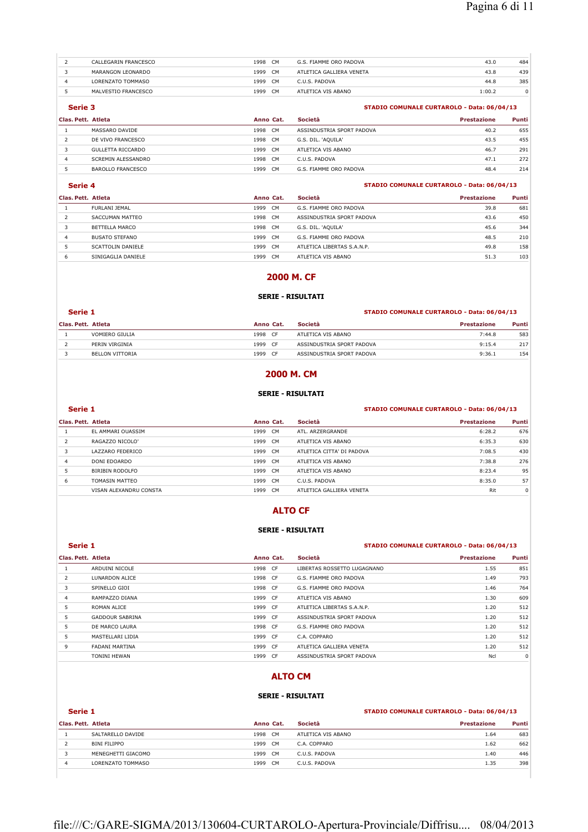| CALLEGARIN FRANCESCO | 1998<br>CM        | G.S. FIAMME ORO PADOVA   | 43.0   | 484 |
|----------------------|-------------------|--------------------------|--------|-----|
| MARANGON LEONARDO    | <b>CM</b><br>1999 | ATLETICA GALLIERA VENETA | 43.8   | 439 |
| LORENZATO TOMMASO    | <b>CM</b><br>1999 | C.U.S. PADOVA            | 44.8   | 385 |
| MALVESTIO FRANCESCO  | CM.<br>1999       | ATLETICA VIS ABANO       | 1:00.2 |     |

#### **Serie 3 STADIO COMUNALE CURTAROLO - Data: 06/04/13**

| Clas. Pett. Atleta |                          | Anno Cat. |                | Società                   | Prestazione | Punti |
|--------------------|--------------------------|-----------|----------------|---------------------------|-------------|-------|
|                    | MASSARO DAVIDE           | 1998      | C <sub>M</sub> | ASSINDUSTRIA SPORT PADOVA | 40.2        | 655   |
|                    | DE VIVO FRANCESCO        | 1998      | <b>CM</b>      | G.S. DIL. 'AOUILA'        | 43.5        | 455   |
|                    | GULLETTA RICCARDO        | 1999      | CM.            | ATLETICA VIS ABANO        | 46.7        | 291   |
|                    | SCREMIN ALESSANDRO       | 1998      | <b>CM</b>      | C.U.S. PADOVA             | 47.1        | 272   |
|                    | <b>BAROLLO FRANCESCO</b> | 1999      | <b>CM</b>      | G.S. FIAMME ORO PADOVA    | 48.4        | 214   |

#### **Serie 4 STADIO COMUNALE CURTAROLO - Data: 06/04/13**

| Clas. Pett. Atleta |                       | Anno Cat.         | Società                    | <b>Prestazione</b> | Punti |
|--------------------|-----------------------|-------------------|----------------------------|--------------------|-------|
|                    | FURLANI JEMAL         | <b>CM</b><br>1999 | G.S. FIAMME ORO PADOVA     | 39.8               | 681   |
|                    | SACCUMAN MATTEO       | 1998<br><b>CM</b> | ASSINDUSTRIA SPORT PADOVA  | 43.6               | 450   |
|                    | BETTELLA MARCO        | - CM<br>1998      | G.S. DIL. 'AQUILA'         | 45.6               | 344   |
|                    | <b>BUSATO STEFANO</b> | 1999<br><b>CM</b> | G.S. FIAMME ORO PADOVA     | 48.5               | 210   |
|                    | SCATTOLIN DANIFLE     | 1999<br>C.M       | ATLETICA LIBERTAS S.A.N.P. | 49.8               | 158   |
| ь                  | SINIGAGLIA DANIELE    | CM<br>1999        | ATLETICA VIS ABANO         | 51.3               | 103   |

## **2000 M. CF**

### **SERIE - RISULTATI**

#### **Serie 1 STADIO COMUNALE CURTAROLO - Data: 06/04/13**

#### **Clas. Pett. Atleta Anno Cat. Società Prestazione Punti** 1 VOMIERO GIULIA 1998 CF ATLETICA VIS ABANO 7:44.8 583 2 PERIN VIRGINIA 1999 CF ASSINDUSTRIA SPORT PADOVA 9:15.4 217 3 BELLON VITTORIA 154 BELLON VITTORIA 1999 CF ASSINDUSTRIA SPORT PADOVA 1999 CF ASSINDUSTRIA SPORT PADOVA

## **2000 M. CM**

#### **SERIE - RISULTATI**

#### **Serie 1 STADIO COMUNALE CURTAROLO - Data: 06/04/13**

| Clas. Pett. Atleta |                        | Anno Cat.              | Società                   | <b>Prestazione</b> | Punti |
|--------------------|------------------------|------------------------|---------------------------|--------------------|-------|
|                    | EL AMMARI OUASSIM      | 1999<br>C <sub>M</sub> | ATI. ARZERGRANDE          | 6:28.2             | 676   |
|                    | RAGAZZO NICOLO'        | 1999<br><b>CM</b>      | ATLETICA VIS ABANO        | 6:35.3             | 630   |
| 3                  | LAZZARO FEDERICO       | 1999<br>CM.            | ATLETICA CITTA' DI PADOVA | 7:08.5             | 430   |
| 4                  | DONI EDOARDO           | 1999<br>CM.            | ATLETICA VIS ABANO        | 7:38.8             | 276   |
|                    | BIRIBIN RODOLFO        | 1999<br>C <sub>M</sub> | ATLETICA VIS ABANO        | 8:23.4             | 95    |
| 6                  | TOMASIN MATTEO         | 1999<br>CM.            | C.U.S. PADOVA             | 8:35.0             | 57    |
|                    | VISAN ALEXANDRU CONSTA | 1999<br><b>CM</b>      | ATLETICA GALLIERA VENETA  | Rit                | 0     |

## **ALTO CF**

### **SERIE - RISULTATI**

#### **Serie 1 STADIO COMUNALE CURTAROLO - Data: 06/04/13 Clas. Pett. Atleta Anno Cat. Società Prestazione Punti** 1 ARDUINI NICOLE 1998 CF LIBERTAS ROSSETTO LUGAGNANO 1.55 851 2 LUNARDON ALICE 1998 CF G.S. FIAMME ORO PADOVA 1.49 793 3 SPINELLO GIOI 1998 CF G.S. FIAMME ORO PADOVA 1.46 764 4 RAMPAZZO DIANA 1999 CF ATLETICA VIS ABANO 609 5 ROMAN ALICE 1999 CF ATLETICA LIBERTAS S.A.N.P. 1.20 512 5 GADDOUR SABRINA 1999 CF ASSINDUSTRIA SPORT PADOVA 1.20 512 5 DE MARCO LAURA 1998 CF G.S. FIAMME ORO PADOVA 1.20 512 5 MASTELLARI LIDIA 1999 CF C.A. COPPARO 1.20 512 9 FADANI MARTINA 1999 CF ATLETICA GALLIERA VENETA 1.20 512 TONINI HEWAN 1999 CF ASSINDUSTRIA SPORT PADOVA 1999 CF ASSINDUSTRIA SPORT PADOVA

## **ALTO CM**

#### **SERIE - RISULTATI**

#### **Serie 1 STADIO COMUNALE CURTAROLO - Data: 06/04/13**

| Clas. Pett. Atleta |                     | Anno Cat. |           | Società            | <b>Prestazione</b> | Punti |
|--------------------|---------------------|-----------|-----------|--------------------|--------------------|-------|
|                    | SALTARELLO DAVIDE   | 1998      | C.M       | ATLETICA VIS ABANO | 1.64               | 683   |
|                    | <b>BINI FILIPPO</b> | 1999      | CM        | C.A. COPPARO       | 1.62               | 662   |
|                    | MENEGHETTI GIACOMO  | 1999      | - CM      | C.U.S. PADOVA      | 1.40               | 446   |
|                    | LORENZATO TOMMASO   | 1999      | <b>CM</b> | C.U.S. PADOVA      | 1.35               | 398   |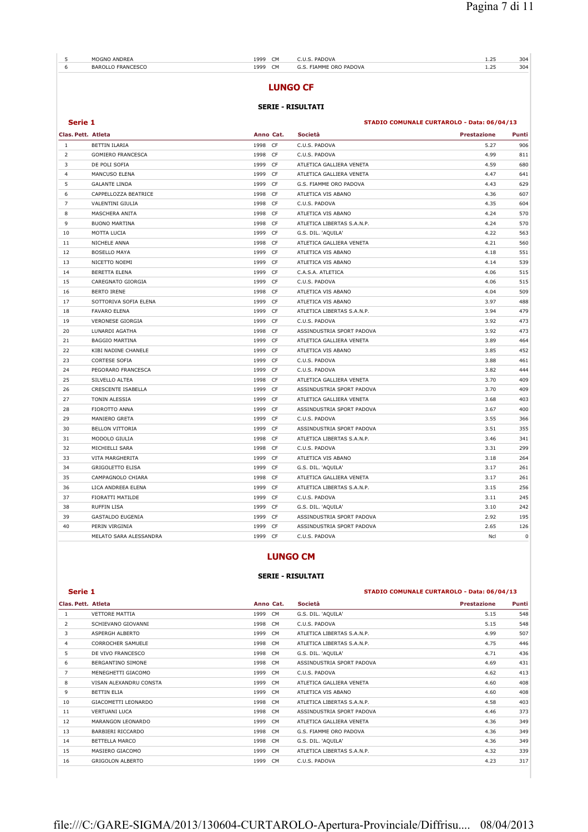| 5                  | MOGNO ANDREA             | 1999 CM |           | C.U.S. PADOVA              | 1.25                                       | 304         |
|--------------------|--------------------------|---------|-----------|----------------------------|--------------------------------------------|-------------|
| 6                  | <b>BAROLLO FRANCESCO</b> | 1999 CM |           | G.S. FIAMME ORO PADOVA     | 1.25                                       | 304         |
|                    |                          |         |           | <b>LUNGO CF</b>            |                                            |             |
|                    |                          |         |           | <b>SERIE - RISULTATI</b>   |                                            |             |
| Serie 1            |                          |         |           |                            | STADIO COMUNALE CURTAROLO - Data: 06/04/13 |             |
| Clas. Pett. Atleta |                          |         | Anno Cat. | Società                    | <b>Prestazione</b>                         | Punti       |
| $\mathbf{1}$       | <b>BETTIN ILARIA</b>     | 1998 CF |           | C.U.S. PADOVA              | 5.27                                       | 906         |
| $\overline{2}$     | <b>GOMIERO FRANCESCA</b> | 1998 CF |           | C.U.S. PADOVA              | 4.99                                       | 811         |
| 3                  | DE POLI SOFIA            | 1999 CF |           | ATLETICA GALLIERA VENETA   | 4.59                                       | 680         |
| $\overline{4}$     | MANCUSO ELENA            | 1999 CF |           | ATLETICA GALLIERA VENETA   | 4.47                                       | 641         |
| 5                  | <b>GALANTE LINDA</b>     | 1999 CF |           | G.S. FIAMME ORO PADOVA     | 4.43                                       | 629         |
| 6                  | CAPPELLOZZA BEATRICE     | 1998 CF |           | ATLETICA VIS ABANO         | 4.36                                       | 607         |
| $\overline{7}$     | VALENTINI GIULIA         | 1998 CF |           | C.U.S. PADOVA              | 4.35                                       | 604         |
| 8                  | MASCHERA ANITA           | 1998 CF |           | ATLETICA VIS ABANO         | 4.24                                       | 570         |
| 9                  | <b>BUONO MARTINA</b>     | 1998 CF |           | ATLETICA LIBERTAS S.A.N.P. | 4.24                                       | 570         |
| 10                 | MOTTA LUCIA              | 1999 CF |           | G.S. DIL. 'AQUILA'         | 4.22                                       | 563         |
| 11                 | NICHELE ANNA             | 1998 CF |           | ATLETICA GALLIERA VENETA   | 4.21                                       | 560         |
| 12                 | <b>BOSELLO MAYA</b>      | 1999 CF |           | ATLETICA VIS ABANO         | 4.18                                       | 551         |
| 13                 | NICETTO NOEMI            | 1999 CF |           | ATLETICA VIS ABANO         | 4.14                                       | 539         |
| 14                 | <b>BERETTA ELENA</b>     | 1999 CF |           | C.A.S.A. ATLETICA          | 4.06                                       | 515         |
| 15                 | CAREGNATO GIORGIA        | 1999 CF |           | C.U.S. PADOVA              | 4.06                                       | 515         |
| 16                 | <b>BERTO IRENE</b>       | 1998 CF |           | ATLETICA VIS ABANO         | 4.04                                       | 509         |
| 17                 | SOTTORIVA SOFIA ELENA    | 1999 CF |           | ATLETICA VIS ABANO         | 3.97                                       | 488         |
| 18                 | <b>FAVARO ELENA</b>      | 1999 CF |           | ATLETICA LIBERTAS S.A.N.P. | 3.94                                       | 479         |
| 19                 | <b>VERONESE GIORGIA</b>  | 1999 CF |           | C.U.S. PADOVA              | 3.92                                       | 473         |
| 20                 | LUNARDI AGATHA           | 1998 CF |           | ASSINDUSTRIA SPORT PADOVA  | 3.92                                       | 473         |
| 21                 | <b>BAGGIO MARTINA</b>    | 1999 CF |           | ATLETICA GALLIERA VENETA   | 3.89                                       | 464         |
| 22                 | KIBI NADINE CHANELE      | 1999 CF |           | ATLETICA VIS ABANO         | 3.85                                       | 452         |
| 23                 | <b>CORTESE SOFIA</b>     | 1999 CF |           | C.U.S. PADOVA              | 3.88                                       | 461         |
| 24                 | PEGORARO FRANCESCA       | 1999 CF |           | C.U.S. PADOVA              | 3.82                                       | 444         |
| 25                 | SILVELLO ALTEA           | 1998 CF |           | ATLETICA GALLIERA VENETA   | 3.70                                       | 409         |
| 26                 | CRESCENTE ISABELLA       | 1999 CF |           | ASSINDUSTRIA SPORT PADOVA  | 3.70                                       | 409         |
| 27                 | TONIN ALESSIA            | 1999 CF |           | ATLETICA GALLIERA VENETA   | 3.68                                       | 403         |
| 28                 | FIOROTTO ANNA            | 1999 CF |           | ASSINDUSTRIA SPORT PADOVA  | 3.67                                       | 400         |
| 29                 | MANIERO GRETA            | 1999 CF |           | C.U.S. PADOVA              | 3.55                                       | 366         |
| 30                 | <b>BELLON VITTORIA</b>   | 1999 CF |           | ASSINDUSTRIA SPORT PADOVA  | 3.51                                       | 355         |
| 31                 | MODOLO GIULIA            | 1998 CF |           | ATLETICA LIBERTAS S.A.N.P. | 3.46                                       | 341         |
| 32                 | MICHIELLI SARA           | 1998 CF |           | C.U.S. PADOVA              | 3.31                                       | 299         |
| 33                 | VITA MARGHERITA          | 1999 CF |           | ATLETICA VIS ABANO         | 3.18                                       | 264         |
| 34                 | <b>GRIGOLETTO ELISA</b>  | 1999 CF |           | G.S. DIL. 'AQUILA'         | 3.17                                       | 261         |
| 35                 | CAMPAGNOLO CHIARA        | 1998 CF |           | ATLETICA GALLIERA VENETA   | 3.17                                       | 261         |
| 36                 | LICA ANDREEA ELENA       | 1999 CF |           | ATLETICA LIBERTAS S.A.N.P. | 3.15                                       | 256         |
| 37                 | FIORATTI MATILDE         | 1999 CF |           | C.U.S. PADOVA              | 3.11                                       | 245         |
| 38                 | <b>RUFFIN LISA</b>       | 1999 CF |           | G.S. DIL. 'AQUILA'         | 3.10                                       | 242         |
| 39                 | <b>GASTALDO EUGENIA</b>  | 1999 CF |           | ASSINDUSTRIA SPORT PADOVA  | 2.92                                       | 195         |
| 40                 | PERIN VIRGINIA           | 1999 CF |           | ASSINDUSTRIA SPORT PADOVA  | 2.65                                       | 126         |
|                    | MELATO SARA ALESSANDRA   | 1999 CF |           | C.U.S. PADOVA              | Ncl                                        | $\mathbf 0$ |

## **LUNGO CM**

### **SERIE - RISULTATI**

#### **Serie 1 STADIO COMUNALE CURTAROLO - Data: 06/04/13**

| -----              |                          |         |           |                            |                    |       |
|--------------------|--------------------------|---------|-----------|----------------------------|--------------------|-------|
| Clas. Pett. Atleta |                          |         | Anno Cat. | Società                    | <b>Prestazione</b> | Punti |
| 1                  | <b>VETTORE MATTIA</b>    | 1999    | CM        | G.S. DIL. 'AQUILA'         | 5.15               | 548   |
| 2                  | SCHIEVANO GIOVANNI       | 1998 CM |           | C.U.S. PADOVA              | 5.15               | 548   |
| 3                  | ASPERGH ALBERTO          | 1999 CM |           | ATLETICA LIBERTAS S.A.N.P. | 4.99               | 507   |
| 4                  | <b>CORROCHER SAMUELE</b> | 1998 CM |           | ATLETICA LIBERTAS S.A.N.P. | 4.75               | 446   |
| 5                  | DE VIVO FRANCESCO        | 1998 CM |           | G.S. DIL. 'AQUILA'         | 4.71               | 436   |
| 6                  | BERGANTINO SIMONE        | 1998 CM |           | ASSINDUSTRIA SPORT PADOVA  | 4.69               | 431   |
| $\overline{7}$     | MENEGHETTI GIACOMO       | 1999 CM |           | C.U.S. PADOVA              | 4.62               | 413   |
| 8                  | VISAN ALEXANDRU CONSTA   | 1999 CM |           | ATLETICA GALLIERA VENETA   | 4.60               | 408   |
| 9                  | <b>BETTIN ELIA</b>       | 1999    | <b>CM</b> | ATLETICA VIS ABANO         | 4.60               | 408   |
| 10                 | GIACOMETTI LEONARDO      | 1998    | CM        | ATLETICA LIBERTAS S.A.N.P. | 4.58               | 403   |
| 11                 | <b>VERTUANI LUCA</b>     | 1998 CM |           | ASSINDUSTRIA SPORT PADOVA  | 4.46               | 373   |
| 12                 | MARANGON LEONARDO        | 1999 CM |           | ATLETICA GALLIERA VENETA   | 4.36               | 349   |
| 13                 | BARBIERI RICCARDO        | 1998 CM |           | G.S. FIAMME ORO PADOVA     | 4.36               | 349   |
| 14                 | BETTELLA MARCO           | 1998 CM |           | G.S. DIL. 'AQUILA'         | 4.36               | 349   |
| 15                 | MASIERO GIACOMO          | 1999    | CM        | ATLETICA LIBERTAS S.A.N.P. | 4.32               | 339   |
| 16                 | <b>GRIGOLON ALBERTO</b>  | 1999    | CM        | C.U.S. PADOVA              | 4.23               | 317   |
|                    |                          |         |           |                            |                    |       |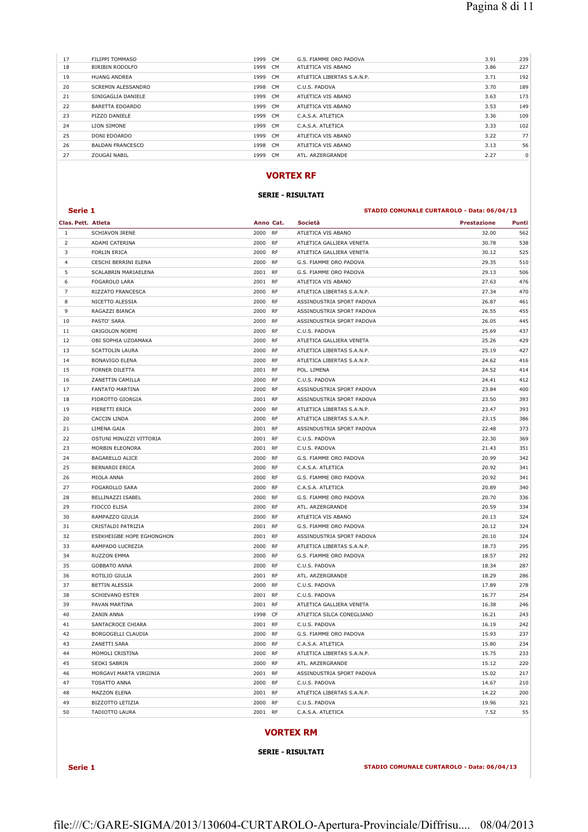| 17 | FILIPPI TOMMASO         | 1999<br><b>CM</b> | G.S. FIAMME ORO PADOVA     | 3.91 | 239 |
|----|-------------------------|-------------------|----------------------------|------|-----|
| 18 | BIRIBIN RODOLFO         | 1999 CM           | ATLETICA VIS ABANO         | 3.86 | 227 |
| 19 | <b>HUANG ANDREA</b>     | 1999 CM           | ATLETICA LIBERTAS S.A.N.P. | 3.71 | 192 |
| 20 | SCREMIN ALESSANDRO      | 1998 CM           | C.U.S. PADOVA              | 3.70 | 189 |
| 21 | SINIGAGLIA DANIELE      | 1999<br><b>CM</b> | ATLETICA VIS ABANO         | 3.63 | 173 |
| 22 | BARETTA EDOARDO         | 1999<br><b>CM</b> | ATLETICA VIS ABANO         | 3.53 | 149 |
| 23 | PIZZO DANIELE           | 1999 CM           | C.A.S.A. ATLETICA          | 3.36 | 109 |
| 24 | LION SIMONE             | 1999<br><b>CM</b> | C.A.S.A. ATLETICA          | 3.33 | 102 |
| 25 | DONI EDOARDO            | 1999 CM           | ATLETICA VIS ABANO         | 3.22 | 77  |
| 26 | <b>BALDAN FRANCESCO</b> | 1998 CM           | ATLETICA VIS ABANO         | 3.13 | 56  |
| 27 | ZOUGAI NABIL            | <b>CM</b><br>1999 | ATL. ARZERGRANDE           | 2.27 | 0   |
|    |                         |                   |                            |      |     |

## **VORTEX RF**

## **SERIE - RISULTATI**

### **Serie 1 STADIO COMUNALE CURTAROLO - Data: 06/04/13**

| Clas. Pett. Atleta |                                  | Anno Cat.    |           | Società                    | <b>Prestazione</b> | Punti |
|--------------------|----------------------------------|--------------|-----------|----------------------------|--------------------|-------|
| $\mathbf{1}$       | <b>SCHIAVON IRENE</b>            | 2000         | <b>RF</b> | ATLETICA VIS ABANO         | 32.00              | 562   |
| $\overline{2}$     | ADAMI CATERINA                   | 2000         | <b>RF</b> | ATLETICA GALLIERA VENETA   | 30.78              | 538   |
| 3                  | <b>FORLIN ERICA</b>              | 2000         | <b>RF</b> | ATLETICA GALLIERA VENETA   | 30.12              | 525   |
| $\overline{4}$     | CESCHI BERRINI ELENA             | 2000         | <b>RF</b> | G.S. FIAMME ORO PADOVA     | 29.35              | 510   |
| 5                  | SCALABRIN MARIAELENA             | 2001         | RF        | G.S. FIAMME ORO PADOVA     | 29.13              | 506   |
| 6                  | <b>FOGAROLO LARA</b>             | 2001         | <b>RF</b> | ATLETICA VIS ABANO         | 27.63              | 476   |
| 7                  | RIZZATO FRANCESCA                | 2000         | <b>RF</b> | ATLETICA LIBERTAS S.A.N.P. | 27.34              | 470   |
| 8                  | NICETTO ALESSIA                  | 2000         | <b>RF</b> | ASSINDUSTRIA SPORT PADOVA  | 26.87              | 461   |
| 9                  | RAGAZZI BIANCA                   | 2000         | <b>RF</b> | ASSINDUSTRIA SPORT PADOVA  | 26.55              | 455   |
| 10                 | PASTO' SARA                      | 2000         | <b>RF</b> | ASSINDUSTRIA SPORT PADOVA  | 26.05              | 445   |
| 11                 | <b>GRIGOLON NOEMI</b>            | 2000         | <b>RF</b> | C.U.S. PADOVA              | 25.69              | 437   |
| 12                 | OBI SOPHIA UZOAMAKA              | 2000         | RF        | ATLETICA GALLIERA VENETA   | 25.26              | 429   |
| 13                 | SCATTOLIN LAURA                  | 2000         | <b>RF</b> | ATLETICA LIBERTAS S.A.N.P. | 25.19              | 427   |
| 14                 | <b>BONAVIGO ELENA</b>            | 2000         | <b>RF</b> | ATLETICA LIBERTAS S.A.N.P. | 24.62              | 416   |
| 15                 | FORNER DILETTA                   | 2001         | <b>RF</b> | POL. LIMENA                | 24.52              | 414   |
| 16                 | ZANETTIN CAMILLA                 | 2000         | <b>RF</b> | C.U.S. PADOVA              | 24.41              | 412   |
| 17                 | <b>FANTATO MARTINA</b>           | 2000         | <b>RF</b> | ASSINDUSTRIA SPORT PADOVA  | 23.84              | 400   |
| 18                 | FIOROTTO GIORGIA                 | 2001         | RF        | ASSINDUSTRIA SPORT PADOVA  | 23.50              | 393   |
| 19                 | PIERETTI ERICA                   | 2000         | <b>RF</b> | ATLETICA LIBERTAS S.A.N.P. | 23.47              | 393   |
| 20                 | CACCIN LINDA                     | 2000         | RF        | ATLETICA LIBERTAS S.A.N.P. | 23.15              | 386   |
| 21                 | LIMENA GAIA                      | 2001         | RF        | ASSINDUSTRIA SPORT PADOVA  | 22.48              | 373   |
| 22                 | OSTUNI MINUZZI VITTORIA          | 2001         | <b>RF</b> | C.U.S. PADOVA              | 22.30              | 369   |
| 23                 | MORBIN ELEONORA                  | 2001         | <b>RF</b> | C.U.S. PADOVA              | 21.43              | 351   |
| 24                 | BAGARELLO ALICE                  | 2000         | <b>RF</b> | G.S. FIAMME ORO PADOVA     | 20.99              | 342   |
| 25                 | <b>BERNARDI ERICA</b>            | 2000         | <b>RF</b> | C.A.S.A. ATLETICA          | 20.92              | 341   |
| 26                 | MIOLA ANNA                       | 2000         | <b>RF</b> | G.S. FIAMME ORO PADOVA     | 20.92              | 341   |
| 27                 | FOGAROLLO SARA                   | 2000         | <b>RF</b> | C.A.S.A. ATLETICA          | 20.89              | 340   |
| 28                 | BELLINAZZI ISABEL                | 2000         | <b>RF</b> | G.S. FIAMME ORO PADOVA     | 20.70              | 336   |
| 29                 | FIOCCO ELISA                     | 2000         | <b>RF</b> | ATL. ARZERGRANDE           | 20.59              | 334   |
| 30                 | RAMPAZZO GIULIA                  | 2000         | <b>RF</b> | ATLETICA VIS ABANO         | 20.13              | 324   |
| 31                 | CRISTALDI PATRIZIA               | 2001         | <b>RF</b> | G.S. FIAMME ORO PADOVA     | 20.12              | 324   |
| 32                 | <b>ESEKHEIGBE HOPE EGHONGHON</b> | 2001         | <b>RF</b> | ASSINDUSTRIA SPORT PADOVA  | 20.10              | 324   |
| 33                 | RAMPADO LUCREZIA                 | 2000         | <b>RF</b> | ATLETICA LIBERTAS S.A.N.P. | 18.73              | 295   |
| 34                 | <b>RUZZON EMMA</b>               | 2000         | RF        | G.S. FIAMME ORO PADOVA     | 18.57              | 292   |
| 35                 | <b>GOBBATO ANNA</b>              | 2000         | <b>RF</b> | C.U.S. PADOVA              | 18.34              | 287   |
| 36                 | ROTILIO GIULIA                   | 2001         | <b>RF</b> | ATL. ARZERGRANDE           | 18.29              | 286   |
| 37                 | <b>BETTIN ALESSIA</b>            | 2000         | <b>RF</b> | C.U.S. PADOVA              | 17.89              | 278   |
| 38                 | <b>SCHIEVANO ESTER</b>           | 2001         | RF        | C.U.S. PADOVA              | 16.77              | 254   |
| 39                 | PAVAN MARTINA                    | 2001         | <b>RF</b> | ATLETICA GALLIERA VENETA   | 16.38              | 246   |
| 40                 | ZANIN ANNA                       | 1998         | CF        | ATLETICA SILCA CONEGLIANO  | 16.21              | 243   |
| 41                 | SANTACROCE CHIARA                | 2001         | <b>RF</b> | C.U.S. PADOVA              | 16.19              | 242   |
| 42                 | BORGOGELLI CLAUDIA               | 2000         | <b>RF</b> | G.S. FIAMME ORO PADOVA     | 15.93              | 237   |
| 43                 | ZANETTI SARA                     | 2000         | RF        | C.A.S.A. ATLETICA          | 15.80              | 234   |
| 44                 | MOMOLI CRISTINA                  | 2000         | <b>RF</b> | ATLETICA LIBERTAS S.A.N.P. | 15.75              | 233   |
| 45                 | SEDKI SABRIN                     | 2000         | RF        | ATL. ARZERGRANDE           | 15.12              | 220   |
|                    | MORGAVI MARTA VIRGINIA           |              | <b>RF</b> | ASSINDUSTRIA SPORT PADOVA  | 15.02              | 217   |
| 46<br>47           | <b>TOSATTO ANNA</b>              | 2001<br>2000 | <b>RF</b> | C.U.S. PADOVA              | 14.67              | 210   |
| 48                 | <b>MAZZON ELENA</b>              | 2001         | <b>RF</b> | ATLETICA LIBERTAS S.A.N.P. | 14.22              | 200   |
| 49                 | <b>BIZZOTTO LETIZIA</b>          | 2000         | <b>RF</b> | C.U.S. PADOVA              | 19.96              | 321   |
| 50                 | <b>TADIOTTO LAURA</b>            | 2001         | <b>RF</b> | C.A.S.A. ATLETICA          | 7.52               | 55    |
|                    |                                  |              |           |                            |                    |       |

## **VORTEX RM**

## **SERIE - RISULTATI**

**Serie 1 STADIO COMUNALE CURTAROLO - Data: 06/04/13**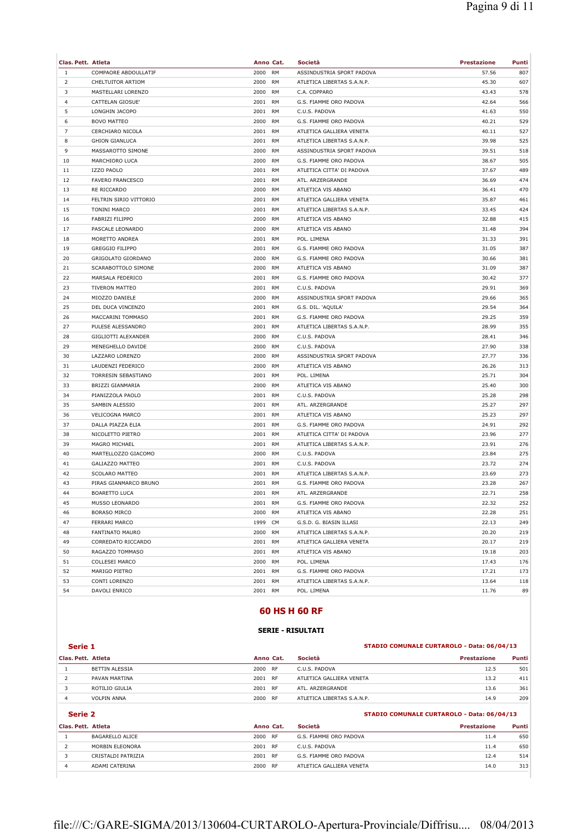| Clas. Pett. Atleta<br>Anno Cat.<br>$\mathbf{1}$<br>COMPAORE ABDOULLATIF<br>2000<br><b>RM</b><br>ASSINDUSTRIA SPORT PADOVA<br>57.56<br>807<br>$\overline{2}$<br>607<br>CHELTUITOR ARTIOM<br>2000<br>RM<br>ATLETICA LIBERTAS S.A.N.P.<br>45.30<br>3<br>MASTELLARI LORENZO<br>2000<br><b>RM</b><br>C.A. COPPARO<br>43.43<br>578<br>$\overline{4}$<br>CATTELAN GIOSUE'<br>2001<br>RM<br>G.S. FIAMME ORO PADOVA<br>42.64<br>566<br>5<br>2001<br>41.63<br>550<br>LONGHIN JACOPO<br>RM<br>C.U.S. PADOVA<br>6<br>2000<br><b>RM</b><br>40.21<br>529<br><b>BOVO MATTEO</b><br>G.S. FIAMME ORO PADOVA<br>$\overline{7}$<br>2001<br>40.11<br>CERCHIARO NICOLA<br>RM<br>ATLETICA GALLIERA VENETA<br>527<br>8<br><b>GHION GIANLUCA</b><br>2001<br><b>RM</b><br>ATLETICA LIBERTAS S.A.N.P.<br>39.98<br>525<br>9<br>518<br>MASSAROTTO SIMONE<br>2000<br>RM<br>ASSINDUSTRIA SPORT PADOVA<br>39.51<br>10<br>2000<br>38.67<br>505<br>MARCHIORO LUCA<br>RM<br>G.S. FIAMME ORO PADOVA<br>11<br><b>IZZO PAOLO</b><br>2001<br><b>RM</b><br>ATLETICA CITTA' DI PADOVA<br>37.67<br>489<br>474<br>12<br><b>FAVERO FRANCESCO</b><br>2001<br>RM<br>ATL. ARZERGRANDE<br>36.69<br>13<br>2000<br><b>RM</b><br>36.41<br>470<br>RE RICCARDO<br>ATLETICA VIS ABANO<br>14<br>FELTRIN SIRIO VITTORIO<br>2001<br>RM<br>ATLETICA GALLIERA VENETA<br>35.87<br>461<br>15<br>2001<br>33.45<br>424<br>TONINI MARCO<br>RM<br>ATLETICA LIBERTAS S.A.N.P.<br>16<br>2000<br>32.88<br>415<br>FABRIZI FILIPPO<br>RM<br>ATLETICA VIS ABANO<br>17<br>394<br>PASCALE LEONARDO<br>2000<br>RM<br>ATLETICA VIS ABANO<br>31.48<br>18<br>MORETTO ANDREA<br>2001<br><b>RM</b><br>31.33<br>391<br>POL. LIMENA<br>387<br>19<br><b>GREGGIO FILIPPO</b><br>2001<br>RM<br>G.S. FIAMME ORO PADOVA<br>31.05<br>20<br>2000<br>381<br>GRIGOLATO GIORDANO<br>RM<br>G.S. FIAMME ORO PADOVA<br>30.66<br>21<br>SCARABOTTOLO SIMONE<br>2000<br><b>RM</b><br>ATLETICA VIS ABANO<br>31.09<br>387<br>22<br>377<br>MARSALA FEDERICO<br>2001<br>RM<br>G.S. FIAMME ORO PADOVA<br>30.42<br>23<br><b>TIVERON MATTEO</b><br>2001<br><b>RM</b><br>29.91<br>369<br>C.U.S. PADOVA<br>24<br>2000<br><b>RM</b><br>ASSINDUSTRIA SPORT PADOVA<br>29.66<br>365<br>MIOZZO DANIELE<br>25<br>2001<br>29.54<br>364<br>DEL DUCA VINCENZO<br>RM<br>G.S. DIL. 'AQUILA'<br>26<br>2001<br>29.25<br>359<br>MACCARINI TOMMASO<br>RM<br>G.S. FIAMME ORO PADOVA<br>27<br>28.99<br>355<br>PULESE ALESSANDRO<br>2001<br>RM<br>ATLETICA LIBERTAS S.A.N.P.<br>28<br>GIGLIOTTI ALEXANDER<br>2000<br><b>RM</b><br>C.U.S. PADOVA<br>28.41<br>346<br>29<br>338<br>MENEGHELLO DAVIDE<br>2000<br>RM<br>C.U.S. PADOVA<br>27.90<br>30<br>2000<br>27.77<br>336<br>LAZZARO LORENZO<br>RM<br>ASSINDUSTRIA SPORT PADOVA<br>31<br>LAUDENZI FEDERICO<br>2000<br><b>RM</b><br>ATLETICA VIS ABANO<br>26.26<br>313<br>304<br>32<br>TORRESIN SEBASTIANO<br>2001<br>RM<br>POL. LIMENA<br>25.71<br>33<br>2000<br><b>RM</b><br>25.40<br>300<br>BRIZZI GIANMARIA<br>ATLETICA VIS ABANO<br>298<br>34<br>PIANIZZOLA PAOLO<br>2001<br>RM<br>C.U.S. PADOVA<br>25.28<br>297<br>35<br>2001<br>25.27<br>SAMBIN ALESSIO<br>RM<br>ATL. ARZERGRANDE<br>36<br>2001<br>25.23<br>297<br><b>VELICOGNA MARCO</b><br>RM<br>ATLETICA VIS ABANO<br>37<br>292<br>DALLA PIAZZA ELIA<br>2001<br>RM<br>G.S. FIAMME ORO PADOVA<br>24.91<br>38<br>NICOLETTO PIETRO<br>2001<br><b>RM</b><br>ATLETICA CITTA' DI PADOVA<br>23.96<br>277<br>39<br>2001<br>23.91<br>276<br>MAGRO MICHAEL<br>RM<br>ATLETICA LIBERTAS S.A.N.P.<br>40<br>2000<br>275<br>MARTELLOZZO GIACOMO<br>RM<br>C.U.S. PADOVA<br>23.84<br>41<br>GALIAZZO MATTEO<br>2001<br><b>RM</b><br>23.72<br>274<br>C.U.S. PADOVA<br>273<br>42<br>SCOLARO MATTEO<br>2001<br>RM<br>ATLETICA LIBERTAS S.A.N.P.<br>23.69<br>43<br>PIRAS GIANMARCO BRUNO<br>2001 RM<br>G.S. FIAMME ORO PADOVA<br>23.28<br>267<br>22.71<br>258<br><b>BOARETTO LUCA</b><br>2001<br>ATL. ARZERGRANDE<br>44<br>RM<br>45<br>2001 RM<br>22.32<br>252<br>MUSSO LEONARDO<br>G.S. FIAMME ORO PADOVA<br>46<br><b>BORASO MIRCO</b><br>2000<br><b>RM</b><br>22.28<br>251<br>ATLETICA VIS ABANO<br>47<br>1999<br>22.13<br>249<br>FERRARI MARCO<br>CM<br>G.S.D. G. BIASIN ILLASI<br>48<br>FANTINATO MAURO<br>2000<br><b>RM</b><br>ATLETICA LIBERTAS S.A.N.P.<br>20.20<br>219<br>49<br>CORREDATO RICCARDO<br>2001<br><b>RM</b><br>ATLETICA GALLIERA VENETA<br>20.17<br>219<br>50<br>2001<br>19.18<br>203<br>RAGAZZO TOMMASO<br>RM<br>ATLETICA VIS ABANO<br>51<br>COLLESEI MARCO<br>2000 RM<br>POL. LIMENA<br>17.43<br>176<br>52<br>173<br>MARIGO PIETRO<br>2001<br>RM<br>G.S. FIAMME ORO PADOVA<br>17.21<br>53<br>CONTI LORENZO<br>2001<br><b>RM</b><br>13.64<br>118<br>ATLETICA LIBERTAS S.A.N.P.<br>2001 RM |    |               |  |             |                    |       |
|----------------------------------------------------------------------------------------------------------------------------------------------------------------------------------------------------------------------------------------------------------------------------------------------------------------------------------------------------------------------------------------------------------------------------------------------------------------------------------------------------------------------------------------------------------------------------------------------------------------------------------------------------------------------------------------------------------------------------------------------------------------------------------------------------------------------------------------------------------------------------------------------------------------------------------------------------------------------------------------------------------------------------------------------------------------------------------------------------------------------------------------------------------------------------------------------------------------------------------------------------------------------------------------------------------------------------------------------------------------------------------------------------------------------------------------------------------------------------------------------------------------------------------------------------------------------------------------------------------------------------------------------------------------------------------------------------------------------------------------------------------------------------------------------------------------------------------------------------------------------------------------------------------------------------------------------------------------------------------------------------------------------------------------------------------------------------------------------------------------------------------------------------------------------------------------------------------------------------------------------------------------------------------------------------------------------------------------------------------------------------------------------------------------------------------------------------------------------------------------------------------------------------------------------------------------------------------------------------------------------------------------------------------------------------------------------------------------------------------------------------------------------------------------------------------------------------------------------------------------------------------------------------------------------------------------------------------------------------------------------------------------------------------------------------------------------------------------------------------------------------------------------------------------------------------------------------------------------------------------------------------------------------------------------------------------------------------------------------------------------------------------------------------------------------------------------------------------------------------------------------------------------------------------------------------------------------------------------------------------------------------------------------------------------------------------------------------------------------------------------------------------------------------------------------------------------------------------------------------------------------------------------------------------------------------------------------------------------------------------------------------------------------------------------------------------------------------------------------------------------------------------------------------------------------------------------------------------------------------------------------------------------------------------------------------------------------------------------------------------------------------------------------------------------------------------------------------------------------------------------------------------------------------------------------------------------------------------------------------------------------------------------------------------------|----|---------------|--|-------------|--------------------|-------|
|                                                                                                                                                                                                                                                                                                                                                                                                                                                                                                                                                                                                                                                                                                                                                                                                                                                                                                                                                                                                                                                                                                                                                                                                                                                                                                                                                                                                                                                                                                                                                                                                                                                                                                                                                                                                                                                                                                                                                                                                                                                                                                                                                                                                                                                                                                                                                                                                                                                                                                                                                                                                                                                                                                                                                                                                                                                                                                                                                                                                                                                                                                                                                                                                                                                                                                                                                                                                                                                                                                                                                                                                                                                                                                                                                                                                                                                                                                                                                                                                                                                                                                                                                                                                                                                                                                                                                                                                                                                                                                                                                                                                                                                                      |    |               |  | Società     | <b>Prestazione</b> | Punti |
|                                                                                                                                                                                                                                                                                                                                                                                                                                                                                                                                                                                                                                                                                                                                                                                                                                                                                                                                                                                                                                                                                                                                                                                                                                                                                                                                                                                                                                                                                                                                                                                                                                                                                                                                                                                                                                                                                                                                                                                                                                                                                                                                                                                                                                                                                                                                                                                                                                                                                                                                                                                                                                                                                                                                                                                                                                                                                                                                                                                                                                                                                                                                                                                                                                                                                                                                                                                                                                                                                                                                                                                                                                                                                                                                                                                                                                                                                                                                                                                                                                                                                                                                                                                                                                                                                                                                                                                                                                                                                                                                                                                                                                                                      |    |               |  |             |                    |       |
|                                                                                                                                                                                                                                                                                                                                                                                                                                                                                                                                                                                                                                                                                                                                                                                                                                                                                                                                                                                                                                                                                                                                                                                                                                                                                                                                                                                                                                                                                                                                                                                                                                                                                                                                                                                                                                                                                                                                                                                                                                                                                                                                                                                                                                                                                                                                                                                                                                                                                                                                                                                                                                                                                                                                                                                                                                                                                                                                                                                                                                                                                                                                                                                                                                                                                                                                                                                                                                                                                                                                                                                                                                                                                                                                                                                                                                                                                                                                                                                                                                                                                                                                                                                                                                                                                                                                                                                                                                                                                                                                                                                                                                                                      |    |               |  |             |                    |       |
|                                                                                                                                                                                                                                                                                                                                                                                                                                                                                                                                                                                                                                                                                                                                                                                                                                                                                                                                                                                                                                                                                                                                                                                                                                                                                                                                                                                                                                                                                                                                                                                                                                                                                                                                                                                                                                                                                                                                                                                                                                                                                                                                                                                                                                                                                                                                                                                                                                                                                                                                                                                                                                                                                                                                                                                                                                                                                                                                                                                                                                                                                                                                                                                                                                                                                                                                                                                                                                                                                                                                                                                                                                                                                                                                                                                                                                                                                                                                                                                                                                                                                                                                                                                                                                                                                                                                                                                                                                                                                                                                                                                                                                                                      |    |               |  |             |                    |       |
|                                                                                                                                                                                                                                                                                                                                                                                                                                                                                                                                                                                                                                                                                                                                                                                                                                                                                                                                                                                                                                                                                                                                                                                                                                                                                                                                                                                                                                                                                                                                                                                                                                                                                                                                                                                                                                                                                                                                                                                                                                                                                                                                                                                                                                                                                                                                                                                                                                                                                                                                                                                                                                                                                                                                                                                                                                                                                                                                                                                                                                                                                                                                                                                                                                                                                                                                                                                                                                                                                                                                                                                                                                                                                                                                                                                                                                                                                                                                                                                                                                                                                                                                                                                                                                                                                                                                                                                                                                                                                                                                                                                                                                                                      |    |               |  |             |                    |       |
|                                                                                                                                                                                                                                                                                                                                                                                                                                                                                                                                                                                                                                                                                                                                                                                                                                                                                                                                                                                                                                                                                                                                                                                                                                                                                                                                                                                                                                                                                                                                                                                                                                                                                                                                                                                                                                                                                                                                                                                                                                                                                                                                                                                                                                                                                                                                                                                                                                                                                                                                                                                                                                                                                                                                                                                                                                                                                                                                                                                                                                                                                                                                                                                                                                                                                                                                                                                                                                                                                                                                                                                                                                                                                                                                                                                                                                                                                                                                                                                                                                                                                                                                                                                                                                                                                                                                                                                                                                                                                                                                                                                                                                                                      |    |               |  |             |                    |       |
|                                                                                                                                                                                                                                                                                                                                                                                                                                                                                                                                                                                                                                                                                                                                                                                                                                                                                                                                                                                                                                                                                                                                                                                                                                                                                                                                                                                                                                                                                                                                                                                                                                                                                                                                                                                                                                                                                                                                                                                                                                                                                                                                                                                                                                                                                                                                                                                                                                                                                                                                                                                                                                                                                                                                                                                                                                                                                                                                                                                                                                                                                                                                                                                                                                                                                                                                                                                                                                                                                                                                                                                                                                                                                                                                                                                                                                                                                                                                                                                                                                                                                                                                                                                                                                                                                                                                                                                                                                                                                                                                                                                                                                                                      |    |               |  |             |                    |       |
|                                                                                                                                                                                                                                                                                                                                                                                                                                                                                                                                                                                                                                                                                                                                                                                                                                                                                                                                                                                                                                                                                                                                                                                                                                                                                                                                                                                                                                                                                                                                                                                                                                                                                                                                                                                                                                                                                                                                                                                                                                                                                                                                                                                                                                                                                                                                                                                                                                                                                                                                                                                                                                                                                                                                                                                                                                                                                                                                                                                                                                                                                                                                                                                                                                                                                                                                                                                                                                                                                                                                                                                                                                                                                                                                                                                                                                                                                                                                                                                                                                                                                                                                                                                                                                                                                                                                                                                                                                                                                                                                                                                                                                                                      |    |               |  |             |                    |       |
|                                                                                                                                                                                                                                                                                                                                                                                                                                                                                                                                                                                                                                                                                                                                                                                                                                                                                                                                                                                                                                                                                                                                                                                                                                                                                                                                                                                                                                                                                                                                                                                                                                                                                                                                                                                                                                                                                                                                                                                                                                                                                                                                                                                                                                                                                                                                                                                                                                                                                                                                                                                                                                                                                                                                                                                                                                                                                                                                                                                                                                                                                                                                                                                                                                                                                                                                                                                                                                                                                                                                                                                                                                                                                                                                                                                                                                                                                                                                                                                                                                                                                                                                                                                                                                                                                                                                                                                                                                                                                                                                                                                                                                                                      |    |               |  |             |                    |       |
|                                                                                                                                                                                                                                                                                                                                                                                                                                                                                                                                                                                                                                                                                                                                                                                                                                                                                                                                                                                                                                                                                                                                                                                                                                                                                                                                                                                                                                                                                                                                                                                                                                                                                                                                                                                                                                                                                                                                                                                                                                                                                                                                                                                                                                                                                                                                                                                                                                                                                                                                                                                                                                                                                                                                                                                                                                                                                                                                                                                                                                                                                                                                                                                                                                                                                                                                                                                                                                                                                                                                                                                                                                                                                                                                                                                                                                                                                                                                                                                                                                                                                                                                                                                                                                                                                                                                                                                                                                                                                                                                                                                                                                                                      |    |               |  |             |                    |       |
|                                                                                                                                                                                                                                                                                                                                                                                                                                                                                                                                                                                                                                                                                                                                                                                                                                                                                                                                                                                                                                                                                                                                                                                                                                                                                                                                                                                                                                                                                                                                                                                                                                                                                                                                                                                                                                                                                                                                                                                                                                                                                                                                                                                                                                                                                                                                                                                                                                                                                                                                                                                                                                                                                                                                                                                                                                                                                                                                                                                                                                                                                                                                                                                                                                                                                                                                                                                                                                                                                                                                                                                                                                                                                                                                                                                                                                                                                                                                                                                                                                                                                                                                                                                                                                                                                                                                                                                                                                                                                                                                                                                                                                                                      |    |               |  |             |                    |       |
|                                                                                                                                                                                                                                                                                                                                                                                                                                                                                                                                                                                                                                                                                                                                                                                                                                                                                                                                                                                                                                                                                                                                                                                                                                                                                                                                                                                                                                                                                                                                                                                                                                                                                                                                                                                                                                                                                                                                                                                                                                                                                                                                                                                                                                                                                                                                                                                                                                                                                                                                                                                                                                                                                                                                                                                                                                                                                                                                                                                                                                                                                                                                                                                                                                                                                                                                                                                                                                                                                                                                                                                                                                                                                                                                                                                                                                                                                                                                                                                                                                                                                                                                                                                                                                                                                                                                                                                                                                                                                                                                                                                                                                                                      |    |               |  |             |                    |       |
|                                                                                                                                                                                                                                                                                                                                                                                                                                                                                                                                                                                                                                                                                                                                                                                                                                                                                                                                                                                                                                                                                                                                                                                                                                                                                                                                                                                                                                                                                                                                                                                                                                                                                                                                                                                                                                                                                                                                                                                                                                                                                                                                                                                                                                                                                                                                                                                                                                                                                                                                                                                                                                                                                                                                                                                                                                                                                                                                                                                                                                                                                                                                                                                                                                                                                                                                                                                                                                                                                                                                                                                                                                                                                                                                                                                                                                                                                                                                                                                                                                                                                                                                                                                                                                                                                                                                                                                                                                                                                                                                                                                                                                                                      |    |               |  |             |                    |       |
|                                                                                                                                                                                                                                                                                                                                                                                                                                                                                                                                                                                                                                                                                                                                                                                                                                                                                                                                                                                                                                                                                                                                                                                                                                                                                                                                                                                                                                                                                                                                                                                                                                                                                                                                                                                                                                                                                                                                                                                                                                                                                                                                                                                                                                                                                                                                                                                                                                                                                                                                                                                                                                                                                                                                                                                                                                                                                                                                                                                                                                                                                                                                                                                                                                                                                                                                                                                                                                                                                                                                                                                                                                                                                                                                                                                                                                                                                                                                                                                                                                                                                                                                                                                                                                                                                                                                                                                                                                                                                                                                                                                                                                                                      |    |               |  |             |                    |       |
|                                                                                                                                                                                                                                                                                                                                                                                                                                                                                                                                                                                                                                                                                                                                                                                                                                                                                                                                                                                                                                                                                                                                                                                                                                                                                                                                                                                                                                                                                                                                                                                                                                                                                                                                                                                                                                                                                                                                                                                                                                                                                                                                                                                                                                                                                                                                                                                                                                                                                                                                                                                                                                                                                                                                                                                                                                                                                                                                                                                                                                                                                                                                                                                                                                                                                                                                                                                                                                                                                                                                                                                                                                                                                                                                                                                                                                                                                                                                                                                                                                                                                                                                                                                                                                                                                                                                                                                                                                                                                                                                                                                                                                                                      |    |               |  |             |                    |       |
|                                                                                                                                                                                                                                                                                                                                                                                                                                                                                                                                                                                                                                                                                                                                                                                                                                                                                                                                                                                                                                                                                                                                                                                                                                                                                                                                                                                                                                                                                                                                                                                                                                                                                                                                                                                                                                                                                                                                                                                                                                                                                                                                                                                                                                                                                                                                                                                                                                                                                                                                                                                                                                                                                                                                                                                                                                                                                                                                                                                                                                                                                                                                                                                                                                                                                                                                                                                                                                                                                                                                                                                                                                                                                                                                                                                                                                                                                                                                                                                                                                                                                                                                                                                                                                                                                                                                                                                                                                                                                                                                                                                                                                                                      |    |               |  |             |                    |       |
|                                                                                                                                                                                                                                                                                                                                                                                                                                                                                                                                                                                                                                                                                                                                                                                                                                                                                                                                                                                                                                                                                                                                                                                                                                                                                                                                                                                                                                                                                                                                                                                                                                                                                                                                                                                                                                                                                                                                                                                                                                                                                                                                                                                                                                                                                                                                                                                                                                                                                                                                                                                                                                                                                                                                                                                                                                                                                                                                                                                                                                                                                                                                                                                                                                                                                                                                                                                                                                                                                                                                                                                                                                                                                                                                                                                                                                                                                                                                                                                                                                                                                                                                                                                                                                                                                                                                                                                                                                                                                                                                                                                                                                                                      |    |               |  |             |                    |       |
|                                                                                                                                                                                                                                                                                                                                                                                                                                                                                                                                                                                                                                                                                                                                                                                                                                                                                                                                                                                                                                                                                                                                                                                                                                                                                                                                                                                                                                                                                                                                                                                                                                                                                                                                                                                                                                                                                                                                                                                                                                                                                                                                                                                                                                                                                                                                                                                                                                                                                                                                                                                                                                                                                                                                                                                                                                                                                                                                                                                                                                                                                                                                                                                                                                                                                                                                                                                                                                                                                                                                                                                                                                                                                                                                                                                                                                                                                                                                                                                                                                                                                                                                                                                                                                                                                                                                                                                                                                                                                                                                                                                                                                                                      |    |               |  |             |                    |       |
|                                                                                                                                                                                                                                                                                                                                                                                                                                                                                                                                                                                                                                                                                                                                                                                                                                                                                                                                                                                                                                                                                                                                                                                                                                                                                                                                                                                                                                                                                                                                                                                                                                                                                                                                                                                                                                                                                                                                                                                                                                                                                                                                                                                                                                                                                                                                                                                                                                                                                                                                                                                                                                                                                                                                                                                                                                                                                                                                                                                                                                                                                                                                                                                                                                                                                                                                                                                                                                                                                                                                                                                                                                                                                                                                                                                                                                                                                                                                                                                                                                                                                                                                                                                                                                                                                                                                                                                                                                                                                                                                                                                                                                                                      |    |               |  |             |                    |       |
|                                                                                                                                                                                                                                                                                                                                                                                                                                                                                                                                                                                                                                                                                                                                                                                                                                                                                                                                                                                                                                                                                                                                                                                                                                                                                                                                                                                                                                                                                                                                                                                                                                                                                                                                                                                                                                                                                                                                                                                                                                                                                                                                                                                                                                                                                                                                                                                                                                                                                                                                                                                                                                                                                                                                                                                                                                                                                                                                                                                                                                                                                                                                                                                                                                                                                                                                                                                                                                                                                                                                                                                                                                                                                                                                                                                                                                                                                                                                                                                                                                                                                                                                                                                                                                                                                                                                                                                                                                                                                                                                                                                                                                                                      |    |               |  |             |                    |       |
|                                                                                                                                                                                                                                                                                                                                                                                                                                                                                                                                                                                                                                                                                                                                                                                                                                                                                                                                                                                                                                                                                                                                                                                                                                                                                                                                                                                                                                                                                                                                                                                                                                                                                                                                                                                                                                                                                                                                                                                                                                                                                                                                                                                                                                                                                                                                                                                                                                                                                                                                                                                                                                                                                                                                                                                                                                                                                                                                                                                                                                                                                                                                                                                                                                                                                                                                                                                                                                                                                                                                                                                                                                                                                                                                                                                                                                                                                                                                                                                                                                                                                                                                                                                                                                                                                                                                                                                                                                                                                                                                                                                                                                                                      |    |               |  |             |                    |       |
|                                                                                                                                                                                                                                                                                                                                                                                                                                                                                                                                                                                                                                                                                                                                                                                                                                                                                                                                                                                                                                                                                                                                                                                                                                                                                                                                                                                                                                                                                                                                                                                                                                                                                                                                                                                                                                                                                                                                                                                                                                                                                                                                                                                                                                                                                                                                                                                                                                                                                                                                                                                                                                                                                                                                                                                                                                                                                                                                                                                                                                                                                                                                                                                                                                                                                                                                                                                                                                                                                                                                                                                                                                                                                                                                                                                                                                                                                                                                                                                                                                                                                                                                                                                                                                                                                                                                                                                                                                                                                                                                                                                                                                                                      |    |               |  |             |                    |       |
|                                                                                                                                                                                                                                                                                                                                                                                                                                                                                                                                                                                                                                                                                                                                                                                                                                                                                                                                                                                                                                                                                                                                                                                                                                                                                                                                                                                                                                                                                                                                                                                                                                                                                                                                                                                                                                                                                                                                                                                                                                                                                                                                                                                                                                                                                                                                                                                                                                                                                                                                                                                                                                                                                                                                                                                                                                                                                                                                                                                                                                                                                                                                                                                                                                                                                                                                                                                                                                                                                                                                                                                                                                                                                                                                                                                                                                                                                                                                                                                                                                                                                                                                                                                                                                                                                                                                                                                                                                                                                                                                                                                                                                                                      |    |               |  |             |                    |       |
|                                                                                                                                                                                                                                                                                                                                                                                                                                                                                                                                                                                                                                                                                                                                                                                                                                                                                                                                                                                                                                                                                                                                                                                                                                                                                                                                                                                                                                                                                                                                                                                                                                                                                                                                                                                                                                                                                                                                                                                                                                                                                                                                                                                                                                                                                                                                                                                                                                                                                                                                                                                                                                                                                                                                                                                                                                                                                                                                                                                                                                                                                                                                                                                                                                                                                                                                                                                                                                                                                                                                                                                                                                                                                                                                                                                                                                                                                                                                                                                                                                                                                                                                                                                                                                                                                                                                                                                                                                                                                                                                                                                                                                                                      |    |               |  |             |                    |       |
|                                                                                                                                                                                                                                                                                                                                                                                                                                                                                                                                                                                                                                                                                                                                                                                                                                                                                                                                                                                                                                                                                                                                                                                                                                                                                                                                                                                                                                                                                                                                                                                                                                                                                                                                                                                                                                                                                                                                                                                                                                                                                                                                                                                                                                                                                                                                                                                                                                                                                                                                                                                                                                                                                                                                                                                                                                                                                                                                                                                                                                                                                                                                                                                                                                                                                                                                                                                                                                                                                                                                                                                                                                                                                                                                                                                                                                                                                                                                                                                                                                                                                                                                                                                                                                                                                                                                                                                                                                                                                                                                                                                                                                                                      |    |               |  |             |                    |       |
|                                                                                                                                                                                                                                                                                                                                                                                                                                                                                                                                                                                                                                                                                                                                                                                                                                                                                                                                                                                                                                                                                                                                                                                                                                                                                                                                                                                                                                                                                                                                                                                                                                                                                                                                                                                                                                                                                                                                                                                                                                                                                                                                                                                                                                                                                                                                                                                                                                                                                                                                                                                                                                                                                                                                                                                                                                                                                                                                                                                                                                                                                                                                                                                                                                                                                                                                                                                                                                                                                                                                                                                                                                                                                                                                                                                                                                                                                                                                                                                                                                                                                                                                                                                                                                                                                                                                                                                                                                                                                                                                                                                                                                                                      |    |               |  |             |                    |       |
|                                                                                                                                                                                                                                                                                                                                                                                                                                                                                                                                                                                                                                                                                                                                                                                                                                                                                                                                                                                                                                                                                                                                                                                                                                                                                                                                                                                                                                                                                                                                                                                                                                                                                                                                                                                                                                                                                                                                                                                                                                                                                                                                                                                                                                                                                                                                                                                                                                                                                                                                                                                                                                                                                                                                                                                                                                                                                                                                                                                                                                                                                                                                                                                                                                                                                                                                                                                                                                                                                                                                                                                                                                                                                                                                                                                                                                                                                                                                                                                                                                                                                                                                                                                                                                                                                                                                                                                                                                                                                                                                                                                                                                                                      |    |               |  |             |                    |       |
|                                                                                                                                                                                                                                                                                                                                                                                                                                                                                                                                                                                                                                                                                                                                                                                                                                                                                                                                                                                                                                                                                                                                                                                                                                                                                                                                                                                                                                                                                                                                                                                                                                                                                                                                                                                                                                                                                                                                                                                                                                                                                                                                                                                                                                                                                                                                                                                                                                                                                                                                                                                                                                                                                                                                                                                                                                                                                                                                                                                                                                                                                                                                                                                                                                                                                                                                                                                                                                                                                                                                                                                                                                                                                                                                                                                                                                                                                                                                                                                                                                                                                                                                                                                                                                                                                                                                                                                                                                                                                                                                                                                                                                                                      |    |               |  |             |                    |       |
|                                                                                                                                                                                                                                                                                                                                                                                                                                                                                                                                                                                                                                                                                                                                                                                                                                                                                                                                                                                                                                                                                                                                                                                                                                                                                                                                                                                                                                                                                                                                                                                                                                                                                                                                                                                                                                                                                                                                                                                                                                                                                                                                                                                                                                                                                                                                                                                                                                                                                                                                                                                                                                                                                                                                                                                                                                                                                                                                                                                                                                                                                                                                                                                                                                                                                                                                                                                                                                                                                                                                                                                                                                                                                                                                                                                                                                                                                                                                                                                                                                                                                                                                                                                                                                                                                                                                                                                                                                                                                                                                                                                                                                                                      |    |               |  |             |                    |       |
|                                                                                                                                                                                                                                                                                                                                                                                                                                                                                                                                                                                                                                                                                                                                                                                                                                                                                                                                                                                                                                                                                                                                                                                                                                                                                                                                                                                                                                                                                                                                                                                                                                                                                                                                                                                                                                                                                                                                                                                                                                                                                                                                                                                                                                                                                                                                                                                                                                                                                                                                                                                                                                                                                                                                                                                                                                                                                                                                                                                                                                                                                                                                                                                                                                                                                                                                                                                                                                                                                                                                                                                                                                                                                                                                                                                                                                                                                                                                                                                                                                                                                                                                                                                                                                                                                                                                                                                                                                                                                                                                                                                                                                                                      |    |               |  |             |                    |       |
|                                                                                                                                                                                                                                                                                                                                                                                                                                                                                                                                                                                                                                                                                                                                                                                                                                                                                                                                                                                                                                                                                                                                                                                                                                                                                                                                                                                                                                                                                                                                                                                                                                                                                                                                                                                                                                                                                                                                                                                                                                                                                                                                                                                                                                                                                                                                                                                                                                                                                                                                                                                                                                                                                                                                                                                                                                                                                                                                                                                                                                                                                                                                                                                                                                                                                                                                                                                                                                                                                                                                                                                                                                                                                                                                                                                                                                                                                                                                                                                                                                                                                                                                                                                                                                                                                                                                                                                                                                                                                                                                                                                                                                                                      |    |               |  |             |                    |       |
|                                                                                                                                                                                                                                                                                                                                                                                                                                                                                                                                                                                                                                                                                                                                                                                                                                                                                                                                                                                                                                                                                                                                                                                                                                                                                                                                                                                                                                                                                                                                                                                                                                                                                                                                                                                                                                                                                                                                                                                                                                                                                                                                                                                                                                                                                                                                                                                                                                                                                                                                                                                                                                                                                                                                                                                                                                                                                                                                                                                                                                                                                                                                                                                                                                                                                                                                                                                                                                                                                                                                                                                                                                                                                                                                                                                                                                                                                                                                                                                                                                                                                                                                                                                                                                                                                                                                                                                                                                                                                                                                                                                                                                                                      |    |               |  |             |                    |       |
|                                                                                                                                                                                                                                                                                                                                                                                                                                                                                                                                                                                                                                                                                                                                                                                                                                                                                                                                                                                                                                                                                                                                                                                                                                                                                                                                                                                                                                                                                                                                                                                                                                                                                                                                                                                                                                                                                                                                                                                                                                                                                                                                                                                                                                                                                                                                                                                                                                                                                                                                                                                                                                                                                                                                                                                                                                                                                                                                                                                                                                                                                                                                                                                                                                                                                                                                                                                                                                                                                                                                                                                                                                                                                                                                                                                                                                                                                                                                                                                                                                                                                                                                                                                                                                                                                                                                                                                                                                                                                                                                                                                                                                                                      |    |               |  |             |                    |       |
|                                                                                                                                                                                                                                                                                                                                                                                                                                                                                                                                                                                                                                                                                                                                                                                                                                                                                                                                                                                                                                                                                                                                                                                                                                                                                                                                                                                                                                                                                                                                                                                                                                                                                                                                                                                                                                                                                                                                                                                                                                                                                                                                                                                                                                                                                                                                                                                                                                                                                                                                                                                                                                                                                                                                                                                                                                                                                                                                                                                                                                                                                                                                                                                                                                                                                                                                                                                                                                                                                                                                                                                                                                                                                                                                                                                                                                                                                                                                                                                                                                                                                                                                                                                                                                                                                                                                                                                                                                                                                                                                                                                                                                                                      |    |               |  |             |                    |       |
|                                                                                                                                                                                                                                                                                                                                                                                                                                                                                                                                                                                                                                                                                                                                                                                                                                                                                                                                                                                                                                                                                                                                                                                                                                                                                                                                                                                                                                                                                                                                                                                                                                                                                                                                                                                                                                                                                                                                                                                                                                                                                                                                                                                                                                                                                                                                                                                                                                                                                                                                                                                                                                                                                                                                                                                                                                                                                                                                                                                                                                                                                                                                                                                                                                                                                                                                                                                                                                                                                                                                                                                                                                                                                                                                                                                                                                                                                                                                                                                                                                                                                                                                                                                                                                                                                                                                                                                                                                                                                                                                                                                                                                                                      |    |               |  |             |                    |       |
|                                                                                                                                                                                                                                                                                                                                                                                                                                                                                                                                                                                                                                                                                                                                                                                                                                                                                                                                                                                                                                                                                                                                                                                                                                                                                                                                                                                                                                                                                                                                                                                                                                                                                                                                                                                                                                                                                                                                                                                                                                                                                                                                                                                                                                                                                                                                                                                                                                                                                                                                                                                                                                                                                                                                                                                                                                                                                                                                                                                                                                                                                                                                                                                                                                                                                                                                                                                                                                                                                                                                                                                                                                                                                                                                                                                                                                                                                                                                                                                                                                                                                                                                                                                                                                                                                                                                                                                                                                                                                                                                                                                                                                                                      |    |               |  |             |                    |       |
|                                                                                                                                                                                                                                                                                                                                                                                                                                                                                                                                                                                                                                                                                                                                                                                                                                                                                                                                                                                                                                                                                                                                                                                                                                                                                                                                                                                                                                                                                                                                                                                                                                                                                                                                                                                                                                                                                                                                                                                                                                                                                                                                                                                                                                                                                                                                                                                                                                                                                                                                                                                                                                                                                                                                                                                                                                                                                                                                                                                                                                                                                                                                                                                                                                                                                                                                                                                                                                                                                                                                                                                                                                                                                                                                                                                                                                                                                                                                                                                                                                                                                                                                                                                                                                                                                                                                                                                                                                                                                                                                                                                                                                                                      |    |               |  |             |                    |       |
|                                                                                                                                                                                                                                                                                                                                                                                                                                                                                                                                                                                                                                                                                                                                                                                                                                                                                                                                                                                                                                                                                                                                                                                                                                                                                                                                                                                                                                                                                                                                                                                                                                                                                                                                                                                                                                                                                                                                                                                                                                                                                                                                                                                                                                                                                                                                                                                                                                                                                                                                                                                                                                                                                                                                                                                                                                                                                                                                                                                                                                                                                                                                                                                                                                                                                                                                                                                                                                                                                                                                                                                                                                                                                                                                                                                                                                                                                                                                                                                                                                                                                                                                                                                                                                                                                                                                                                                                                                                                                                                                                                                                                                                                      |    |               |  |             |                    |       |
|                                                                                                                                                                                                                                                                                                                                                                                                                                                                                                                                                                                                                                                                                                                                                                                                                                                                                                                                                                                                                                                                                                                                                                                                                                                                                                                                                                                                                                                                                                                                                                                                                                                                                                                                                                                                                                                                                                                                                                                                                                                                                                                                                                                                                                                                                                                                                                                                                                                                                                                                                                                                                                                                                                                                                                                                                                                                                                                                                                                                                                                                                                                                                                                                                                                                                                                                                                                                                                                                                                                                                                                                                                                                                                                                                                                                                                                                                                                                                                                                                                                                                                                                                                                                                                                                                                                                                                                                                                                                                                                                                                                                                                                                      |    |               |  |             |                    |       |
|                                                                                                                                                                                                                                                                                                                                                                                                                                                                                                                                                                                                                                                                                                                                                                                                                                                                                                                                                                                                                                                                                                                                                                                                                                                                                                                                                                                                                                                                                                                                                                                                                                                                                                                                                                                                                                                                                                                                                                                                                                                                                                                                                                                                                                                                                                                                                                                                                                                                                                                                                                                                                                                                                                                                                                                                                                                                                                                                                                                                                                                                                                                                                                                                                                                                                                                                                                                                                                                                                                                                                                                                                                                                                                                                                                                                                                                                                                                                                                                                                                                                                                                                                                                                                                                                                                                                                                                                                                                                                                                                                                                                                                                                      |    |               |  |             |                    |       |
|                                                                                                                                                                                                                                                                                                                                                                                                                                                                                                                                                                                                                                                                                                                                                                                                                                                                                                                                                                                                                                                                                                                                                                                                                                                                                                                                                                                                                                                                                                                                                                                                                                                                                                                                                                                                                                                                                                                                                                                                                                                                                                                                                                                                                                                                                                                                                                                                                                                                                                                                                                                                                                                                                                                                                                                                                                                                                                                                                                                                                                                                                                                                                                                                                                                                                                                                                                                                                                                                                                                                                                                                                                                                                                                                                                                                                                                                                                                                                                                                                                                                                                                                                                                                                                                                                                                                                                                                                                                                                                                                                                                                                                                                      |    |               |  |             |                    |       |
|                                                                                                                                                                                                                                                                                                                                                                                                                                                                                                                                                                                                                                                                                                                                                                                                                                                                                                                                                                                                                                                                                                                                                                                                                                                                                                                                                                                                                                                                                                                                                                                                                                                                                                                                                                                                                                                                                                                                                                                                                                                                                                                                                                                                                                                                                                                                                                                                                                                                                                                                                                                                                                                                                                                                                                                                                                                                                                                                                                                                                                                                                                                                                                                                                                                                                                                                                                                                                                                                                                                                                                                                                                                                                                                                                                                                                                                                                                                                                                                                                                                                                                                                                                                                                                                                                                                                                                                                                                                                                                                                                                                                                                                                      |    |               |  |             |                    |       |
|                                                                                                                                                                                                                                                                                                                                                                                                                                                                                                                                                                                                                                                                                                                                                                                                                                                                                                                                                                                                                                                                                                                                                                                                                                                                                                                                                                                                                                                                                                                                                                                                                                                                                                                                                                                                                                                                                                                                                                                                                                                                                                                                                                                                                                                                                                                                                                                                                                                                                                                                                                                                                                                                                                                                                                                                                                                                                                                                                                                                                                                                                                                                                                                                                                                                                                                                                                                                                                                                                                                                                                                                                                                                                                                                                                                                                                                                                                                                                                                                                                                                                                                                                                                                                                                                                                                                                                                                                                                                                                                                                                                                                                                                      |    |               |  |             |                    |       |
|                                                                                                                                                                                                                                                                                                                                                                                                                                                                                                                                                                                                                                                                                                                                                                                                                                                                                                                                                                                                                                                                                                                                                                                                                                                                                                                                                                                                                                                                                                                                                                                                                                                                                                                                                                                                                                                                                                                                                                                                                                                                                                                                                                                                                                                                                                                                                                                                                                                                                                                                                                                                                                                                                                                                                                                                                                                                                                                                                                                                                                                                                                                                                                                                                                                                                                                                                                                                                                                                                                                                                                                                                                                                                                                                                                                                                                                                                                                                                                                                                                                                                                                                                                                                                                                                                                                                                                                                                                                                                                                                                                                                                                                                      |    |               |  |             |                    |       |
|                                                                                                                                                                                                                                                                                                                                                                                                                                                                                                                                                                                                                                                                                                                                                                                                                                                                                                                                                                                                                                                                                                                                                                                                                                                                                                                                                                                                                                                                                                                                                                                                                                                                                                                                                                                                                                                                                                                                                                                                                                                                                                                                                                                                                                                                                                                                                                                                                                                                                                                                                                                                                                                                                                                                                                                                                                                                                                                                                                                                                                                                                                                                                                                                                                                                                                                                                                                                                                                                                                                                                                                                                                                                                                                                                                                                                                                                                                                                                                                                                                                                                                                                                                                                                                                                                                                                                                                                                                                                                                                                                                                                                                                                      |    |               |  |             |                    |       |
|                                                                                                                                                                                                                                                                                                                                                                                                                                                                                                                                                                                                                                                                                                                                                                                                                                                                                                                                                                                                                                                                                                                                                                                                                                                                                                                                                                                                                                                                                                                                                                                                                                                                                                                                                                                                                                                                                                                                                                                                                                                                                                                                                                                                                                                                                                                                                                                                                                                                                                                                                                                                                                                                                                                                                                                                                                                                                                                                                                                                                                                                                                                                                                                                                                                                                                                                                                                                                                                                                                                                                                                                                                                                                                                                                                                                                                                                                                                                                                                                                                                                                                                                                                                                                                                                                                                                                                                                                                                                                                                                                                                                                                                                      |    |               |  |             |                    |       |
|                                                                                                                                                                                                                                                                                                                                                                                                                                                                                                                                                                                                                                                                                                                                                                                                                                                                                                                                                                                                                                                                                                                                                                                                                                                                                                                                                                                                                                                                                                                                                                                                                                                                                                                                                                                                                                                                                                                                                                                                                                                                                                                                                                                                                                                                                                                                                                                                                                                                                                                                                                                                                                                                                                                                                                                                                                                                                                                                                                                                                                                                                                                                                                                                                                                                                                                                                                                                                                                                                                                                                                                                                                                                                                                                                                                                                                                                                                                                                                                                                                                                                                                                                                                                                                                                                                                                                                                                                                                                                                                                                                                                                                                                      |    |               |  |             |                    |       |
|                                                                                                                                                                                                                                                                                                                                                                                                                                                                                                                                                                                                                                                                                                                                                                                                                                                                                                                                                                                                                                                                                                                                                                                                                                                                                                                                                                                                                                                                                                                                                                                                                                                                                                                                                                                                                                                                                                                                                                                                                                                                                                                                                                                                                                                                                                                                                                                                                                                                                                                                                                                                                                                                                                                                                                                                                                                                                                                                                                                                                                                                                                                                                                                                                                                                                                                                                                                                                                                                                                                                                                                                                                                                                                                                                                                                                                                                                                                                                                                                                                                                                                                                                                                                                                                                                                                                                                                                                                                                                                                                                                                                                                                                      |    |               |  |             |                    |       |
|                                                                                                                                                                                                                                                                                                                                                                                                                                                                                                                                                                                                                                                                                                                                                                                                                                                                                                                                                                                                                                                                                                                                                                                                                                                                                                                                                                                                                                                                                                                                                                                                                                                                                                                                                                                                                                                                                                                                                                                                                                                                                                                                                                                                                                                                                                                                                                                                                                                                                                                                                                                                                                                                                                                                                                                                                                                                                                                                                                                                                                                                                                                                                                                                                                                                                                                                                                                                                                                                                                                                                                                                                                                                                                                                                                                                                                                                                                                                                                                                                                                                                                                                                                                                                                                                                                                                                                                                                                                                                                                                                                                                                                                                      |    |               |  |             |                    |       |
|                                                                                                                                                                                                                                                                                                                                                                                                                                                                                                                                                                                                                                                                                                                                                                                                                                                                                                                                                                                                                                                                                                                                                                                                                                                                                                                                                                                                                                                                                                                                                                                                                                                                                                                                                                                                                                                                                                                                                                                                                                                                                                                                                                                                                                                                                                                                                                                                                                                                                                                                                                                                                                                                                                                                                                                                                                                                                                                                                                                                                                                                                                                                                                                                                                                                                                                                                                                                                                                                                                                                                                                                                                                                                                                                                                                                                                                                                                                                                                                                                                                                                                                                                                                                                                                                                                                                                                                                                                                                                                                                                                                                                                                                      |    |               |  |             |                    |       |
|                                                                                                                                                                                                                                                                                                                                                                                                                                                                                                                                                                                                                                                                                                                                                                                                                                                                                                                                                                                                                                                                                                                                                                                                                                                                                                                                                                                                                                                                                                                                                                                                                                                                                                                                                                                                                                                                                                                                                                                                                                                                                                                                                                                                                                                                                                                                                                                                                                                                                                                                                                                                                                                                                                                                                                                                                                                                                                                                                                                                                                                                                                                                                                                                                                                                                                                                                                                                                                                                                                                                                                                                                                                                                                                                                                                                                                                                                                                                                                                                                                                                                                                                                                                                                                                                                                                                                                                                                                                                                                                                                                                                                                                                      |    |               |  |             |                    |       |
|                                                                                                                                                                                                                                                                                                                                                                                                                                                                                                                                                                                                                                                                                                                                                                                                                                                                                                                                                                                                                                                                                                                                                                                                                                                                                                                                                                                                                                                                                                                                                                                                                                                                                                                                                                                                                                                                                                                                                                                                                                                                                                                                                                                                                                                                                                                                                                                                                                                                                                                                                                                                                                                                                                                                                                                                                                                                                                                                                                                                                                                                                                                                                                                                                                                                                                                                                                                                                                                                                                                                                                                                                                                                                                                                                                                                                                                                                                                                                                                                                                                                                                                                                                                                                                                                                                                                                                                                                                                                                                                                                                                                                                                                      |    |               |  |             |                    |       |
|                                                                                                                                                                                                                                                                                                                                                                                                                                                                                                                                                                                                                                                                                                                                                                                                                                                                                                                                                                                                                                                                                                                                                                                                                                                                                                                                                                                                                                                                                                                                                                                                                                                                                                                                                                                                                                                                                                                                                                                                                                                                                                                                                                                                                                                                                                                                                                                                                                                                                                                                                                                                                                                                                                                                                                                                                                                                                                                                                                                                                                                                                                                                                                                                                                                                                                                                                                                                                                                                                                                                                                                                                                                                                                                                                                                                                                                                                                                                                                                                                                                                                                                                                                                                                                                                                                                                                                                                                                                                                                                                                                                                                                                                      |    |               |  |             |                    |       |
|                                                                                                                                                                                                                                                                                                                                                                                                                                                                                                                                                                                                                                                                                                                                                                                                                                                                                                                                                                                                                                                                                                                                                                                                                                                                                                                                                                                                                                                                                                                                                                                                                                                                                                                                                                                                                                                                                                                                                                                                                                                                                                                                                                                                                                                                                                                                                                                                                                                                                                                                                                                                                                                                                                                                                                                                                                                                                                                                                                                                                                                                                                                                                                                                                                                                                                                                                                                                                                                                                                                                                                                                                                                                                                                                                                                                                                                                                                                                                                                                                                                                                                                                                                                                                                                                                                                                                                                                                                                                                                                                                                                                                                                                      | 54 | DAVOLI ENRICO |  | POL. LIMENA | 11.76              | 89    |

## **60 HS H 60 RF**

#### **SERIE - RISULTATI**

## **Serie 1 STADIO COMUNALE CURTAROLO - Data: 06/04/13 Clas. Pett. Atleta Anno Cat. Società Prestazione Punti** BETTIN ALESSIA 2000 RF C.U.S. PADOVA 12.5 501 2 PAVAN MARTINA 13.2 411<br>2001 RF ATL ARZERGRANDE 13.6 361<br>2001 RF ATL ARZERGRANDE 14.9 200 ROTILIO GIULIA 2001 RF ATL. ARZERGRANDE 13.6 361 VOLPIN ANNA 2000 RF ATLETICA LIBERTAS S.A.N.P. 14.9 209

|   | Serie 2            |                   |                          | STADIO COMUNALE CURTAROLO - Data: 06/04/13 |       |  |  |
|---|--------------------|-------------------|--------------------------|--------------------------------------------|-------|--|--|
|   | Clas. Pett. Atleta | Anno Cat.         | <b>Società</b>           | <b>Prestazione</b>                         | Punti |  |  |
|   | BAGARELLO ALICE    | 2000 RF           | G.S. FIAMME ORO PADOVA   | 11.4                                       | 650   |  |  |
|   | MORBIN ELEONORA    | 2001 RF           | C.U.S. PADOVA            | 11.4                                       | 650   |  |  |
|   | CRISTALDI PATRIZIA | 2001<br><b>RF</b> | G.S. FIAMME ORO PADOVA   | 12.4                                       | 514   |  |  |
| 4 | ADAMI CATERINA     | 2000 RF           | ATLETICA GALLIERA VENETA | 14.0                                       | 313   |  |  |
|   |                    |                   |                          |                                            |       |  |  |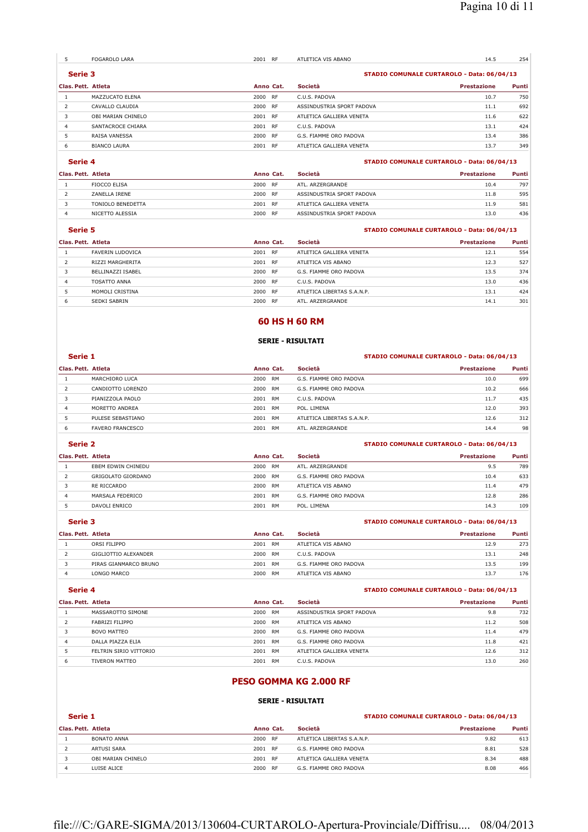|                    | FOGAROLO LARA       | 2001 RF   |           | ATLETICA VIS ABANO        | 14.5                                       | 254   |
|--------------------|---------------------|-----------|-----------|---------------------------|--------------------------------------------|-------|
| Serie 3            |                     |           |           |                           | STADIO COMUNALE CURTAROLO - Data: 06/04/13 |       |
| Clas. Pett. Atleta |                     | Anno Cat. |           | <b>Società</b>            | <b>Prestazione</b>                         | Punti |
|                    | MAZZUCATO ELENA     | 2000 RF   |           | C.U.S. PADOVA             | 10.7                                       | 750   |
|                    | CAVALLO CLAUDIA     | 2000 RF   |           | ASSINDUSTRIA SPORT PADOVA | 11.1                                       | 692   |
| 3                  | OBI MARIAN CHINELO  | 2001 RF   |           | ATLETICA GALLIERA VENETA  | 11.6                                       | 622   |
| 4                  | SANTACROCE CHIARA   | 2001      | <b>RF</b> | C.U.S. PADOVA             | 13.1                                       | 424   |
|                    | RAISA VANESSA       | 2000 RF   |           | G.S. FIAMME ORO PADOVA    | 13.4                                       | 386   |
| 6                  | <b>BIANCO LAURA</b> | 2001      | <b>RF</b> | ATLETICA GALLIERA VENETA  | 13.7                                       | 349   |

### **Serie 4 STADIO COMUNALE CURTAROLO - Data: 06/04/13**

| Clas. Pett. Atleta |                     | Anno Cat. |           | Società                   | <b>Prestazione</b> | Punti |
|--------------------|---------------------|-----------|-----------|---------------------------|--------------------|-------|
|                    | <b>FIOCCO FLISA</b> | 2000      | RF        | ATI . ARZERGRANDE         | 10.4               | 797   |
|                    | ZANELLA IRENE       | 2000      | RF        | ASSINDUSTRIA SPORT PADOVA | 11.8               | 595   |
|                    | TONIOLO BENEDETTA   | 2001      | <b>RF</b> | ATLETICA GALLIERA VENETA  | 11.9               | 581   |
|                    | NICETTO ALESSIA     | 2000      | <b>RF</b> | ASSINDUSTRIA SPORT PADOVA | 13.0               | 436   |

#### **Serie 5 STADIO COMUNALE CURTAROLO - Data: 06/04/13**

| Clas. Pett. Atleta |                     | Anno Cat. |           | Società                    | <b>Prestazione</b> | Punti |
|--------------------|---------------------|-----------|-----------|----------------------------|--------------------|-------|
|                    | FAVERIN LUDOVICA    | 2001      | <b>RF</b> | ATLETICA GALLIERA VENETA   | 12.1               | 554   |
|                    | RIZZI MARGHERITA    | 2001      | <b>RF</b> | ATLETICA VIS ABANO         | 12.3               | 527   |
|                    | BELLINAZZI ISABEL   | 2000      | <b>RF</b> | G.S. FIAMME ORO PADOVA     | 13.5               | 374   |
| $\overline{4}$     | <b>TOSATTO ANNA</b> | 2000      | <b>RF</b> | C.U.S. PADOVA              | 13.0               | 436   |
|                    | MOMOLI CRISTINA     | 2000      | <b>RF</b> | ATLETICA LIBERTAS S.A.N.P. | 13.1               | 424   |
| ь                  | SEDKI SABRIN        | 2000      | <b>RF</b> | ATL. ARZERGRANDE           | 14.1               | 301   |
|                    |                     |           |           |                            |                    |       |

### **60 HS H 60 RM**

#### **SERIE - RISULTATI**

#### **Serie 1 STADIO COMUNALE CURTAROLO - Data: 06/04/13**

| Clas. Pett. Atleta |                         | Anno Cat. |           | Società                    | Prestazione | Punti |
|--------------------|-------------------------|-----------|-----------|----------------------------|-------------|-------|
|                    | MARCHIORO LUCA          | 2000      | <b>RM</b> | G.S. FIAMME ORO PADOVA     | 10.0        | 699   |
|                    | CANDIOTTO LORENZO       | 2000      | RM        | G.S. FIAMME ORO PADOVA     | 10.2        | 666   |
|                    | PIANIZZOLA PAOLO        | 2001      | <b>RM</b> | C.U.S. PADOVA              | 11.7        | 435   |
| 4                  | MORFTTO ANDREA          | 2001      | RM        | POL. LIMENA                | 12.0        | 393   |
|                    | PULESE SEBASTIANO       | 2001      | <b>RM</b> | ATLETICA LIBERTAS S.A.N.P. | 12.6        | 312   |
|                    | <b>FAVERO FRANCESCO</b> | 2001      | RM        | ATL. ARZERGRANDE           | 14.4        | 98    |

### **Serie 2 STADIO COMUNALE CURTAROLO - Data: 06/04/13**

#### **Clas. Pett. Atleta Anno Cat. Società Prestazione Punti** 1 EBEM EDWIN CHINEDU 2000 RM ATL. ARZERGRANDE 9.5 789 2 GRIGOLATO GIORDANO 2000 RM G.S. FIAMME ORO PADOVA 10.4 633<br>2000 RM ATLETICA VIS ABANO 2000 RM ATLETICA VIS ABANO 11.4 479 3 RE RICCARDO 2000 RM ATLETICA VIS ABANO 11.4 479<br>4 MARSALA FEDERICO 2001 RM G.S. FIAMME ORO PADOVA 12.8 286 MARSALA FEDERICO 2001 RM G.S. FIAMME ORO PADOVA 12.8 286 DAVOLI ENRICO 2001 RM POL. LIMENA 14.3 109

# **Serie 3 STADIO COMUNALE CURTAROLO - Data: 06/04/13**

| Clas. Pett. Atleta |                       | Anno Cat.         | Società                | <b>Prestazione</b> | Punti |
|--------------------|-----------------------|-------------------|------------------------|--------------------|-------|
|                    | ORSI FILIPPO          | 2001<br><b>RM</b> | ATLETICA VIS ABANO     | 12.9               | 273   |
|                    | GIGLIOTTIO ALEXANDER  | 2000<br>RM        | C.U.S. PADOVA          | 13.1               | 248   |
|                    | PIRAS GIANMARCO BRUNO | 2001<br>RM        | G.S. FIAMME ORO PADOVA | 13.5               | 199   |
|                    | LONGO MARCO           | 2000<br><b>RM</b> | ATLETICA VIS ABANO     | 13.7               | 176   |

### **Serie 4 STADIO COMUNALE CURTAROLO - Data: 06/04/13**

| Clas. Pett. Atleta |                        | Anno Cat.  | <b>Società</b>            | Prestazione | Punti |
|--------------------|------------------------|------------|---------------------------|-------------|-------|
|                    | MASSAROTTO SIMONE      | 2000<br>RM | ASSINDUSTRIA SPORT PADOVA | 9.8         | 732   |
|                    | FABRIZI FILIPPO        | 2000<br>RM | ATLETICA VIS ABANO        | 11.2        | 508   |
|                    | <b>BOVO MATTEO</b>     | 2000 RM    | G.S. FIAMME ORO PADOVA    | 11.4        | 479   |
| 4                  | DALLA PIAZZA FLIA      | 2001 RM    | G.S. FIAMME ORO PADOVA    | 11.8        | 421   |
|                    | FELTRIN SIRIO VITTORIO | RM<br>2001 | ATLETICA GALLIERA VENETA  | 12.6        | 312   |
| ь                  | TIVERON MATTEO         | RM<br>2001 | C.U.S. PADOVA             | 13.0        | 260   |

## **PESO GOMMA KG 2.000 RF**

### **SERIE - RISULTATI**

| $\sim$<br>۰.<br>۰.<br>M.<br>M. |
|--------------------------------|
|--------------------------------|

| Serie 1 | STADIO COMUNALE CURTAROLO - Data: 06/04/13 |
|---------|--------------------------------------------|
|         |                                            |

| Clas. Pett. Atleta |                    | Anno Cat. |           | Società                    | <b>Prestazione</b> | <b>Punti</b> |
|--------------------|--------------------|-----------|-----------|----------------------------|--------------------|--------------|
|                    | BONATO ANNA        | 2000      | RF        | ATLETICA LIBERTAS S.A.N.P. | 9.82               | 613          |
|                    | ARTUSI SARA        | 2001      | <b>RF</b> | G.S. FIAMME ORO PADOVA     | 8.81               | 528          |
|                    | OBI MARIAN CHINELO | 2001      | <b>RF</b> | ATLETICA GALLIERA VENETA   | 8.34               | 488          |
|                    | LUISE ALICE        | 2000      | <b>RF</b> | G.S. FIAMME ORO PADOVA     | 8.08               | 466          |